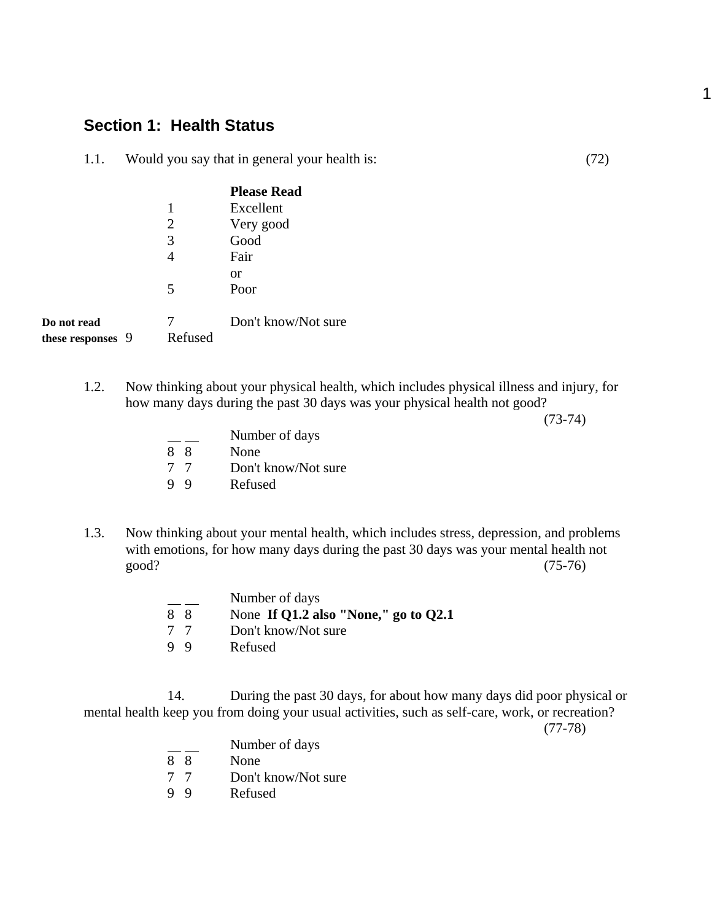## **Section 1: Health Status**

1.1. Would you say that in general your health is: (72)

|                   |         | <b>Please Read</b>  |
|-------------------|---------|---------------------|
|                   | 1       | Excellent           |
|                   | 2       | Very good           |
|                   | 3       | Good                |
|                   |         | Fair                |
|                   |         | or                  |
|                   | 5       | Poor                |
| Do not read       |         | Don't know/Not sure |
| these responses 9 | Refused |                     |

1.2. Now thinking about your physical health, which includes physical illness and injury, for how many days during the past 30 days was your physical health not good?

(73-74)

|    | Number of days      |
|----|---------------------|
| 88 | None                |
| 77 | Don't know/Not sure |
| 99 | Refused             |

1.3. Now thinking about your mental health, which includes stress, depression, and problems with emotions, for how many days during the past 30 days was your mental health not good? (75-76)

|    | Number of days                         |
|----|----------------------------------------|
| 88 | None If Q1.2 also "None," go to $Q2.1$ |
| 77 | Don't know/Not sure                    |
| 99 | Refused                                |

14. During the past 30 days, for about how many days did poor physical or mental health keep you from doing your usual activities, such as self-care, work, or recreation?

(77-78)

 Number of days 8 8 None 7 7 Don't know/Not sure<br>9 9 Refused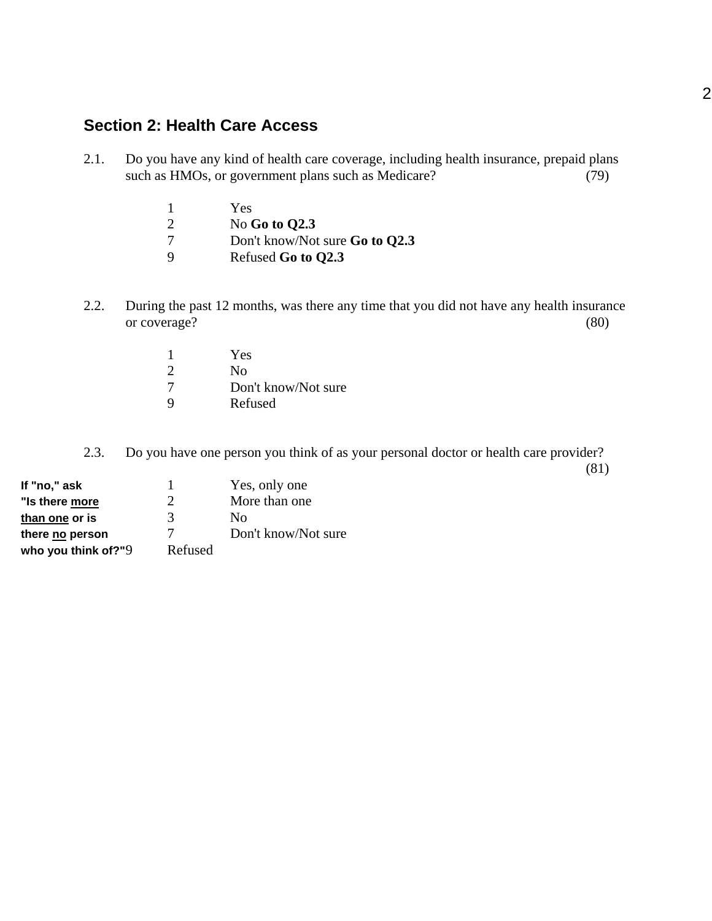## **Section 2: Health Care Access**

- 2.1. Do you have any kind of health care coverage, including health insurance, prepaid plans such as HMOs, or government plans such as Medicare? (79)
	- 1 Yes
	- 2 No **Go to Q2.3**<br>7 Don't know/Not
	- 7 Don't know/Not sure **Go to Q2.3**
	- 9 Refused **Go to Q2.3**
- 2.2. During the past 12 months, was there any time that you did not have any health insurance or coverage? (80)
	- 1 Yes 2 No<br>7 Don Don't know/Not sure 9 Refused
- 2.3. Do you have one person you think of as your personal doctor or health care provider?

(81)

| If "no," ask           |         | Yes, only one       |
|------------------------|---------|---------------------|
| "Is there more         | 2       | More than one       |
| than one or is         | 3       | Nο                  |
| there no person        | 7       | Don't know/Not sure |
| who you think of?" $9$ | Refused |                     |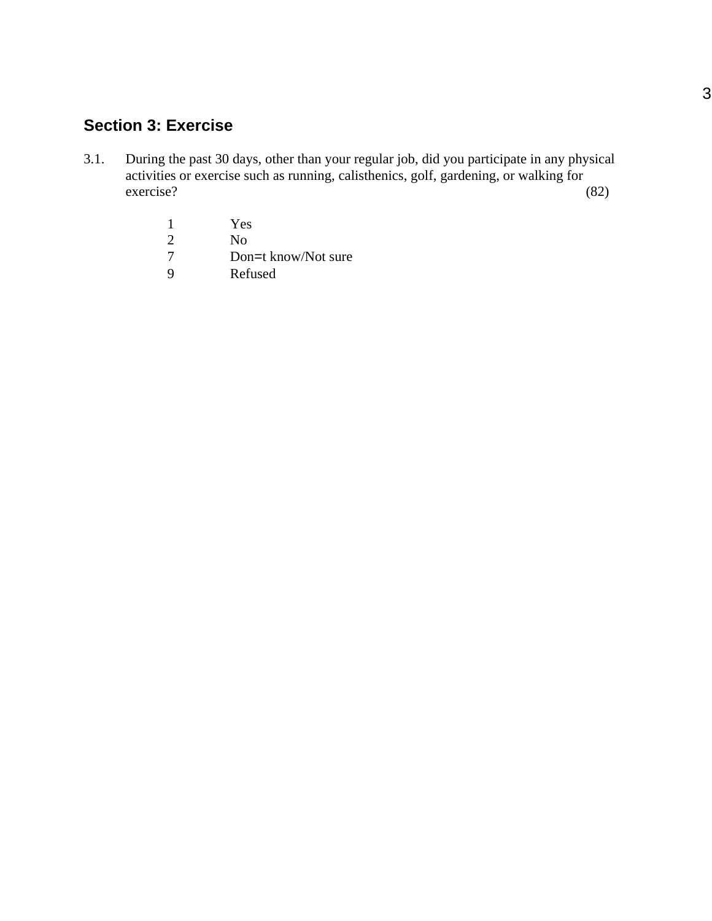# **Section 3: Exercise**

- 3.1. During the past 30 days, other than your regular job, did you participate in any physical activities or exercise such as running, calisthenics, golf, gardening, or walking for exercise? (82)
	- 1 Yes<br>2 No
	- 2 No<br>7 Dor
	- 7 Don=t know/Not sure<br>9 Refused
	- **Refused**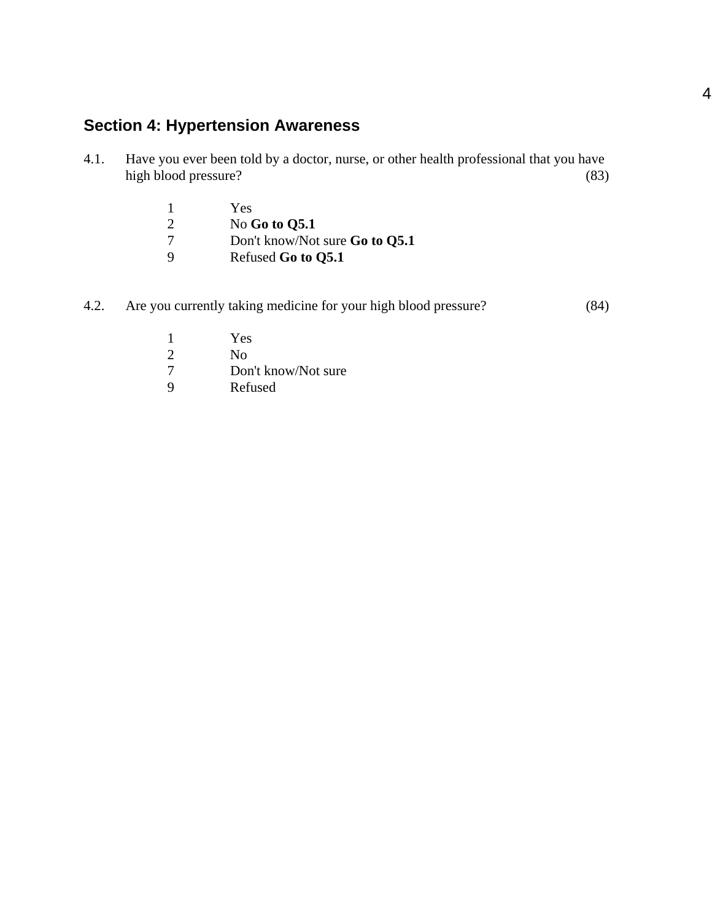# **Section 4: Hypertension Awareness**

- 4.1. Have you ever been told by a doctor, nurse, or other health professional that you have high blood pressure? (83)
	- 1 Yes
	- 2 No **Go to Q5.1**<br>7 Don't know/Not
	- 7 Don't know/Not sure **Go to Q5.1**
	- 9 Refused **Go to Q5.1**
- 4.2. Are you currently taking medicine for your high blood pressure? (84)
	- 1 Yes<br>2 No
	- 2 No<br>7 Dor
	- 7 Don't know/Not sure<br>9 Refused
	- **Refused**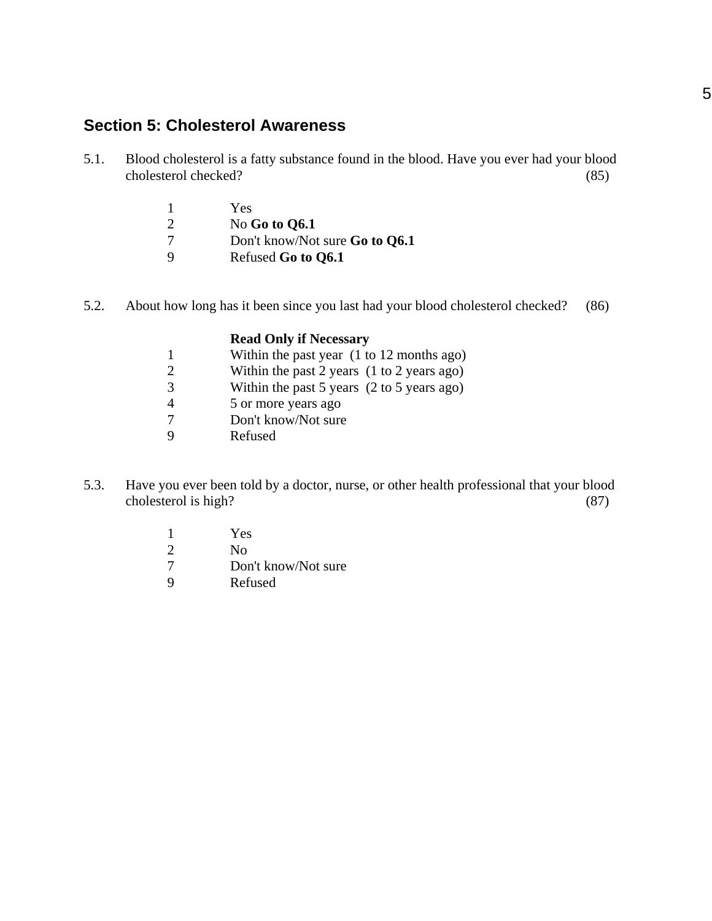## **Section 5: Cholesterol Awareness**

- 5.1. Blood cholesterol is a fatty substance found in the blood. Have you ever had your blood cholesterol checked? (85)
	- 1 Yes
	- 2 No **Go to Q6.1**
	- 7 Don't know/Not sure **Go to Q6.1**
	- 9 Refused **Go to Q6.1**
- 5.2. About how long has it been since you last had your blood cholesterol checked? (86)

#### **Read Only if Necessary**

- 1 Within the past year (1 to 12 months ago)
- 2 Within the past 2 years (1 to 2 years ago)
- 3 Within the past 5 years (2 to 5 years ago)
- 4 5 or more years ago
- 7 Don't know/Not sure
- 9 Refused
- 5.3. Have you ever been told by a doctor, nurse, or other health professional that your blood cholesterol is high? (87)
	- 1 Yes
	- 2 No
	- 7 Don't know/Not sure
	- 9 Refused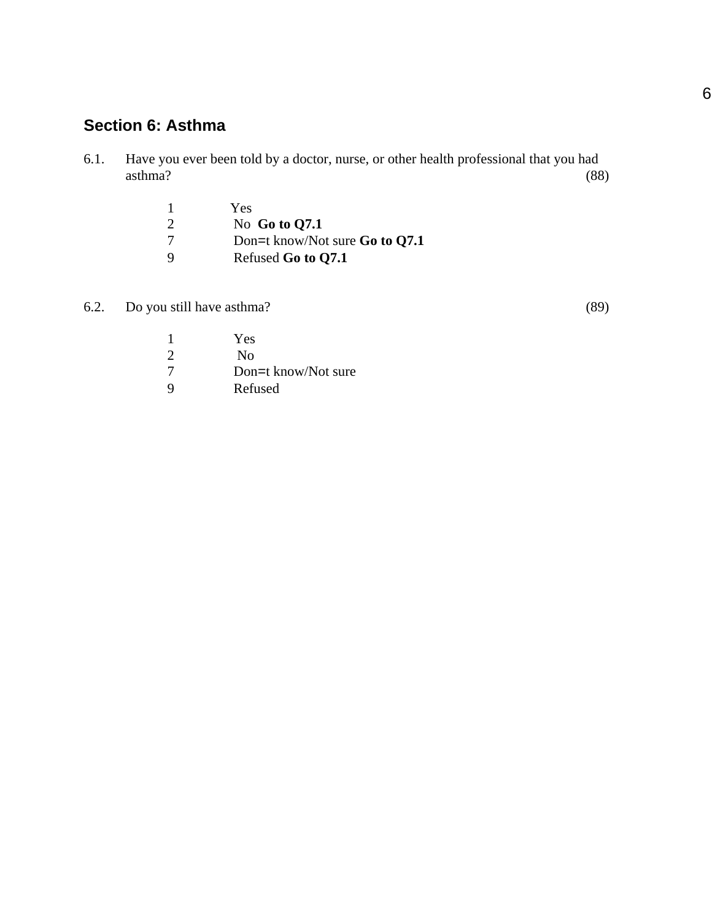# **Section 6: Asthma**

6.1. Have you ever been told by a doctor, nurse, or other health professional that you had asthma? (88)

|   | Yes                              |
|---|----------------------------------|
| 2 | No Go to $Q7.1$                  |
| 7 | Don=t know/Not sure Go to $Q7.1$ |
| 9 | Refused Go to Q7.1               |

6.2. Do you still have asthma? (89)

|             | Yes                 |
|-------------|---------------------|
| 2           | No                  |
| -7          | Don=t know/Not sure |
| $\mathbf Q$ | Refused             |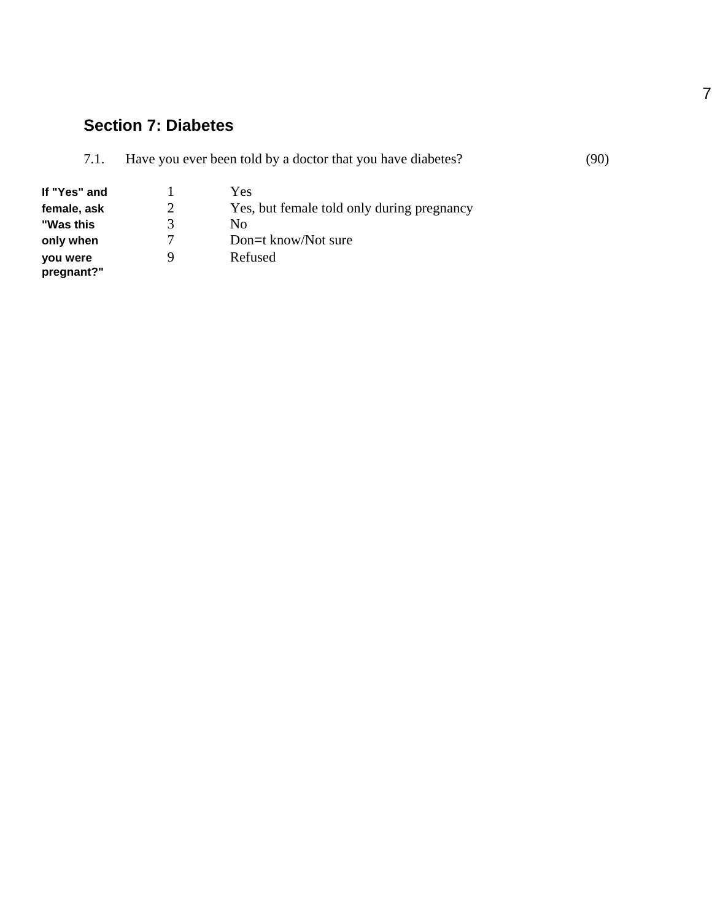## **Section 7: Diabetes**

| 7.1.         | Have you ever been told by a doctor that you have diabetes? |                                            | (90) |
|--------------|-------------------------------------------------------------|--------------------------------------------|------|
| If "Yes" and |                                                             | Yes                                        |      |
| female, ask  |                                                             | Yes, but female told only during pregnancy |      |
| "Was this    |                                                             | No                                         |      |
| only when    |                                                             | Don=t know/Not sure                        |      |

**you were pregnant?"**

**only when** 7 Don=t know/Not sure<br> **vou were** 9 Refused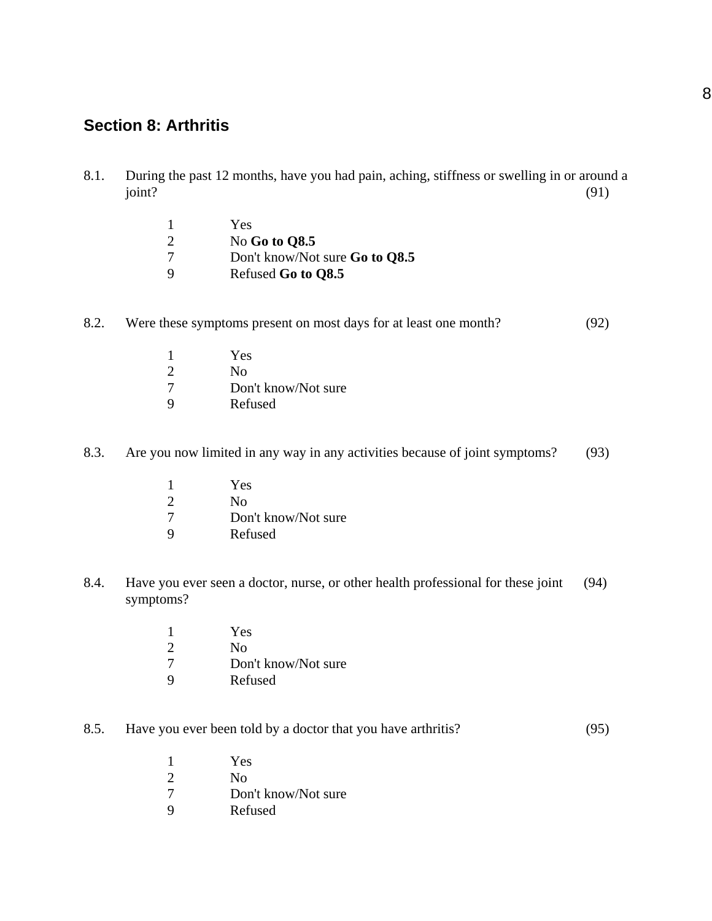## **Section 8: Arthritis**

8.1. During the past 12 months, have you had pain, aching, stiffness or swelling in or around a joint?  $(91)$ 

|   | Yes                                   |
|---|---------------------------------------|
|   | No Go to $\Omega$ 8.5                 |
|   | Don't know/Not sure <b>Go to Q8.5</b> |
| Q | Refused Go to Q8.5                    |

### 8.2. Were these symptoms present on most days for at least one month? (92)

|    | Yes                 |
|----|---------------------|
| 2  | No                  |
| -7 | Don't know/Not sure |
| 9  | Refused             |

### 8.3. Are you now limited in any way in any activities because of joint symptoms? (93)

|                             | Yes                 |
|-----------------------------|---------------------|
| $\mathcal{D}_{\mathcal{L}}$ | No                  |
|                             | Don't know/Not sure |
|                             |                     |

- 9 Refused
- 8.4. Have you ever seen a doctor, nurse, or other health professional for these joint (94) symptoms?
	- 1 Yes<br>2 No N<sub>o</sub> 7 Don't know/Not sure 9 Refused

### 8.5. Have you ever been told by a doctor that you have arthritis? (95)

1 Yes 2 No 7 Don't know/Not sure 9 Refused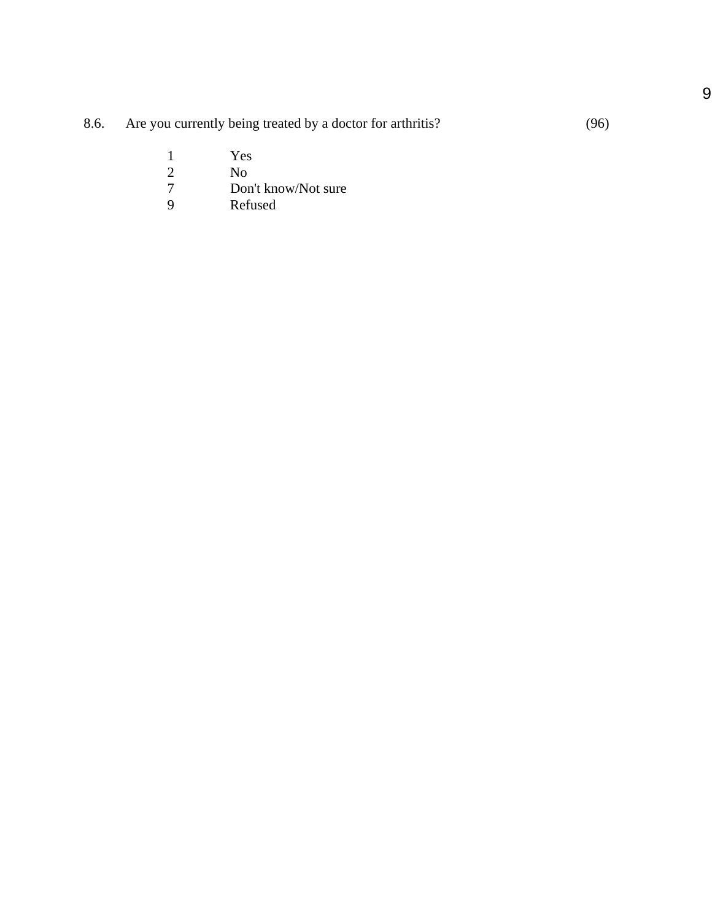| 8.6. | Are you currently being treated by a doctor for arthritis? | (96) |
|------|------------------------------------------------------------|------|
|------|------------------------------------------------------------|------|

- 1 Yes<br>2 No
- 
- 2 No<br>7 Dor<br>9 Ref Don't know/Not sure
- Refused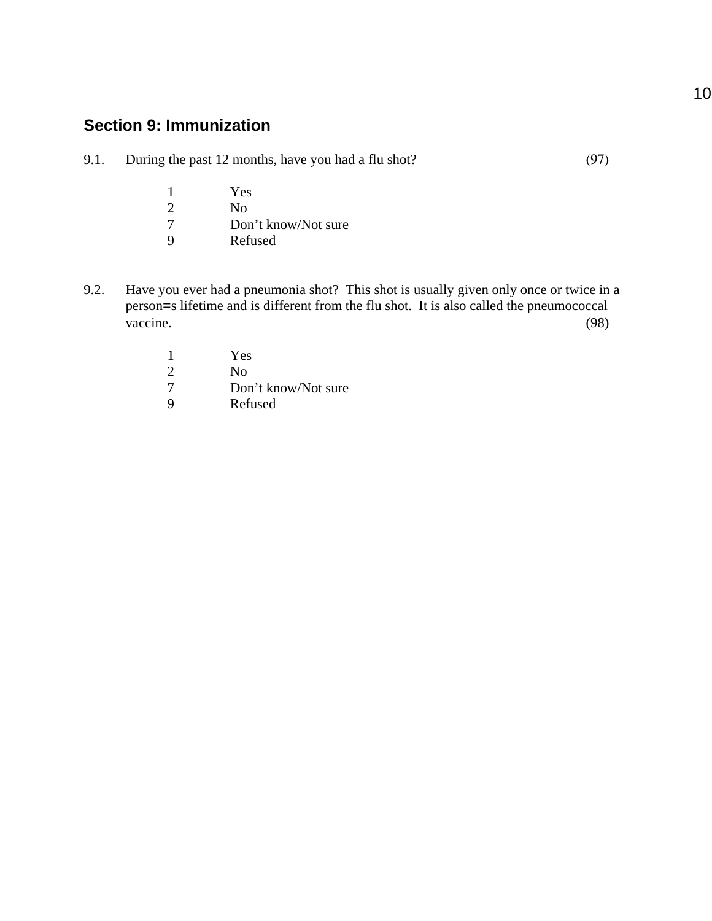## **Section 9: Immunization**

- 9.1. During the past 12 months, have you had a flu shot? (97)
	- 1 Yes<br>2 No 2 No<br>7 Don 7 Don't know/Not sure<br>9 Refused **Refused**
- 9.2. Have you ever had a pneumonia shot? This shot is usually given only once or twice in a person=s lifetime and is different from the flu shot. It is also called the pneumococcal vaccine. (98)
	- 1 Yes 2 No<br>7 Don Don't know/Not sure 9 Refused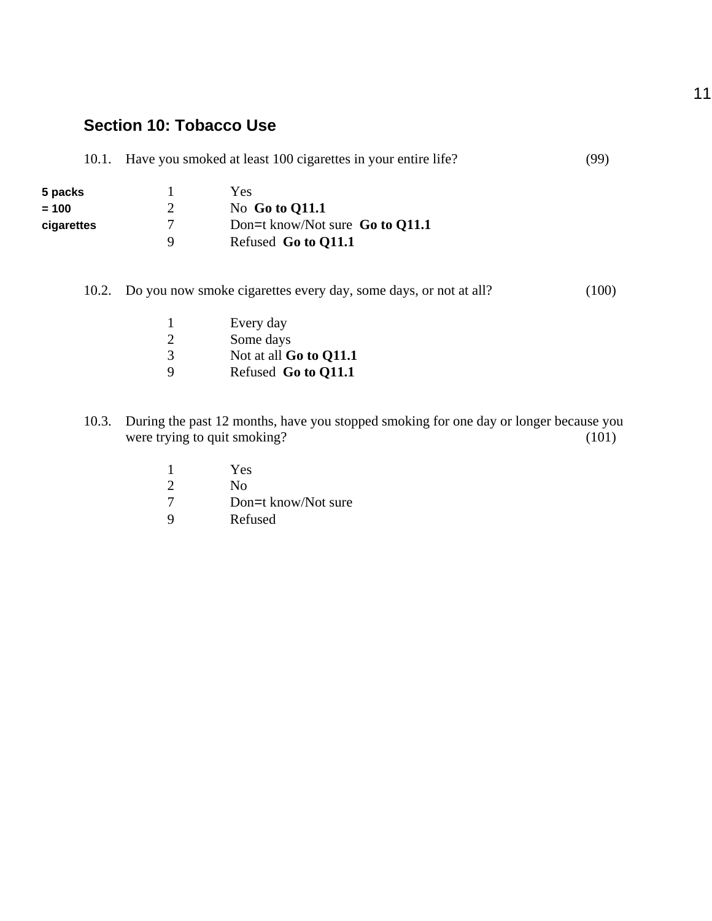## **Section 10: Tobacco Use**

| 10.1.      | Have you smoked at least 100 cigarettes in your entire life? |                                   | (99) |
|------------|--------------------------------------------------------------|-----------------------------------|------|
| 5 packs    |                                                              | Yes                               |      |
| $= 100$    |                                                              | No Go to $Q11.1$                  |      |
| cigarettes | 7                                                            | Don=t know/Not sure Go to $Q11.1$ |      |
|            | 9                                                            | Refused Go to Q11.1               |      |
|            |                                                              |                                   |      |

10.2. Do you now smoke cigarettes every day, some days, or not at all? (100)

- 1 Every day<br>2 Some days 2 Some days<br>3 Not at all G 3 Not at all **Go to Q11.1**<br>9 Refused **Go to O11.1** 9 Refused **Go to Q11.1**
- 10.3. During the past 12 months, have you stopped smoking for one day or longer because you were trying to quit smoking? (101) were trying to quit smoking?

|          | Yes                 |
|----------|---------------------|
| 2        | Nο                  |
| -7       | Don=t know/Not sure |
| <b>Q</b> | Refused             |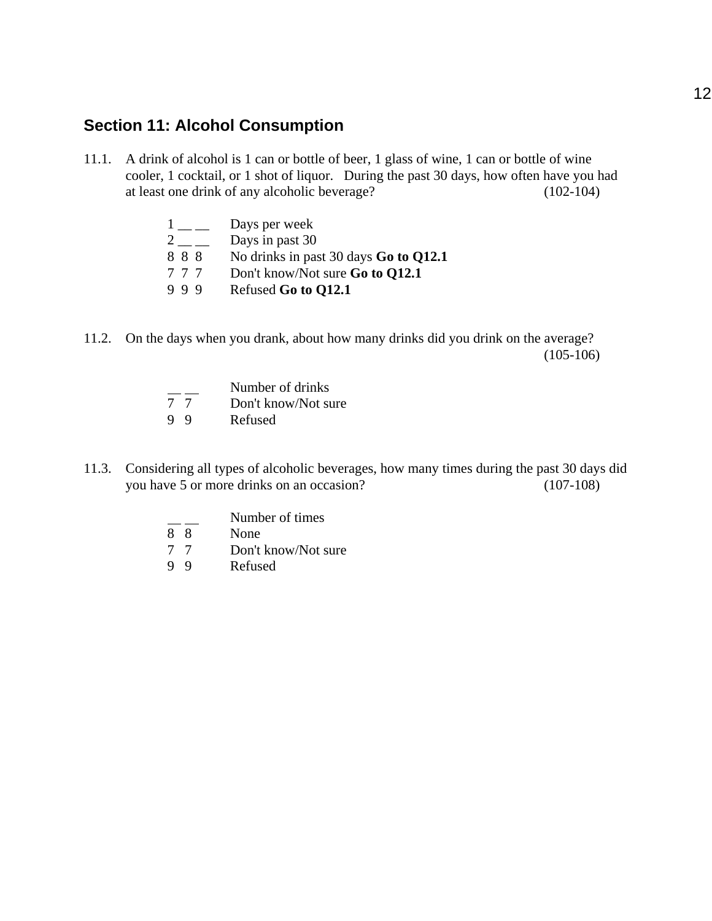## **Section 11: Alcohol Consumption**

11.1. A drink of alcohol is 1 can or bottle of beer, 1 glass of wine, 1 can or bottle of wine cooler, 1 cocktail, or 1 shot of liquor. During the past 30 days, how often have you had at least one drink of any alcoholic beverage? (102-104)

|     | Days per week                                |
|-----|----------------------------------------------|
|     | Days in past 30                              |
| 888 | No drinks in past 30 days <b>Go to Q12.1</b> |
| 777 | Don't know/Not sure <b>Go to Q12.1</b>       |
| 999 | Refused Go to Q12.1                          |

11.2. On the days when you drank, about how many drinks did you drink on the average?  $(105-106)$ 

|    | Number of drinks    |
|----|---------------------|
| 77 | Don't know/Not sure |
| 99 | Refused             |

- 11.3. Considering all types of alcoholic beverages, how many times during the past 30 days did you have 5 or more drinks on an occasion? (107-108)
	- $\frac{1}{8}$  Number of times
	- None
	- 7 7 Don't know/Not sure<br>9 9 Refused
	- **Refused**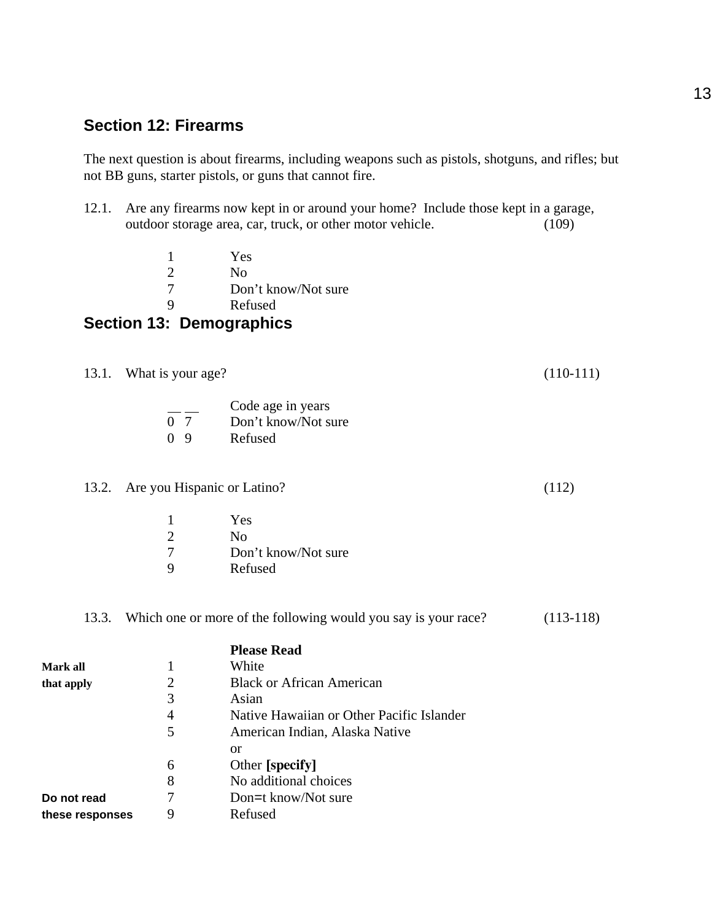## **Section 12: Firearms**

The next question is about firearms, including weapons such as pistols, shotguns, and rifles; but not BB guns, starter pistols, or guns that cannot fire.

- 12.1. Are any firearms now kept in or around your home? Include those kept in a garage, outdoor storage area, car, truck, or other motor vehicle. (109)
	- 1 Yes 2 No<br>7 Dor Don't know/Not sure 9 Refused

## **Section 13: Demographics**

13.1. What is your age? (110-111)

|                | Code age in years   |
|----------------|---------------------|
| 0 <sub>7</sub> | Don't know/Not sure |
| 0 <sub>9</sub> | Refused             |

#### 13.2. Are you Hispanic or Latino? (112)

|                             | Yes                 |
|-----------------------------|---------------------|
| $\mathcal{D}_{\mathcal{L}}$ | Nο                  |
| 7                           | Don't know/Not sure |
| 9                           | Refused             |

### 13.3. Which one or more of the following would you say is your race? (113-118)

|                 |                | <b>Please Read</b>                        |
|-----------------|----------------|-------------------------------------------|
| Mark all        |                | White                                     |
| that apply      | $\overline{2}$ | <b>Black or African American</b>          |
|                 | 3              | Asian                                     |
|                 | 4              | Native Hawaiian or Other Pacific Islander |
|                 | 5              | American Indian, Alaska Native            |
|                 |                | <sub>or</sub>                             |
|                 | 6              | Other [specify]                           |
|                 | 8              | No additional choices                     |
| Do not read     | 7              | Don=t know/Not sure                       |
| these responses | 9              | Refused                                   |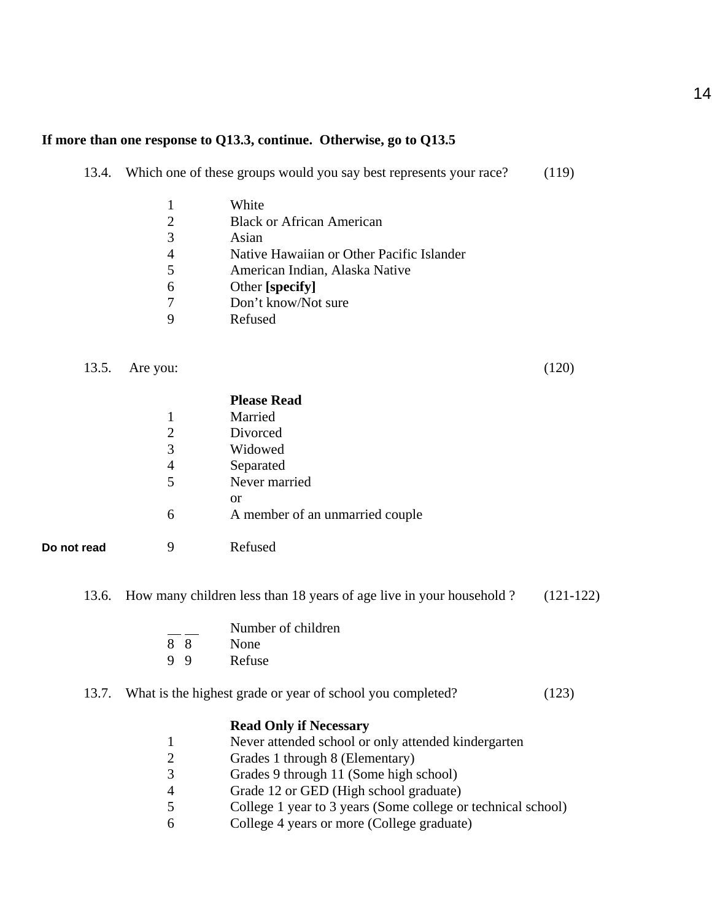#### **If more than one response to Q13.3, continue. Otherwise, go to Q13.5**

| 13.4. |  |  | Which one of these groups would you say best represents your race? |  | (119) |  |
|-------|--|--|--------------------------------------------------------------------|--|-------|--|
|-------|--|--|--------------------------------------------------------------------|--|-------|--|

|   | White                                     |
|---|-------------------------------------------|
|   | <b>Black or African American</b>          |
| 3 | Asian                                     |
|   | Native Hawaiian or Other Pacific Islander |
| 5 | American Indian, Alaska Native            |
|   | Other [specify]                           |
|   | Don't know/Not sure                       |
|   | Refused                                   |

## 13.5. Are you: (120)

**Do not read** 

|   | <b>Please Read</b>              |
|---|---------------------------------|
|   | Married                         |
| 2 | Divorced                        |
| 3 | Widowed                         |
| 4 | Separated                       |
| 5 | Never married                   |
|   | <sub>or</sub>                   |
| 6 | A member of an unmarried couple |
|   |                                 |
| 9 | Refused                         |
|   |                                 |

13.6. How many children less than 18 years of age live in your household ? (121-122)

|   |     | Number of children |
|---|-----|--------------------|
|   | 88  | None               |
| 9 | - 9 | Refuse             |

## 13.7. What is the highest grade or year of school you completed? (123)

#### **Read Only if Necessary**

- 1 Never attended school or only attended kindergarten
- 2 Grades 1 through 8 (Elementary)
- 3 Grades 9 through 11 (Some high school)
- 4 Grade 12 or GED (High school graduate)
- 5 College 1 year to 3 years (Some college or technical school)
- 6 College 4 years or more (College graduate)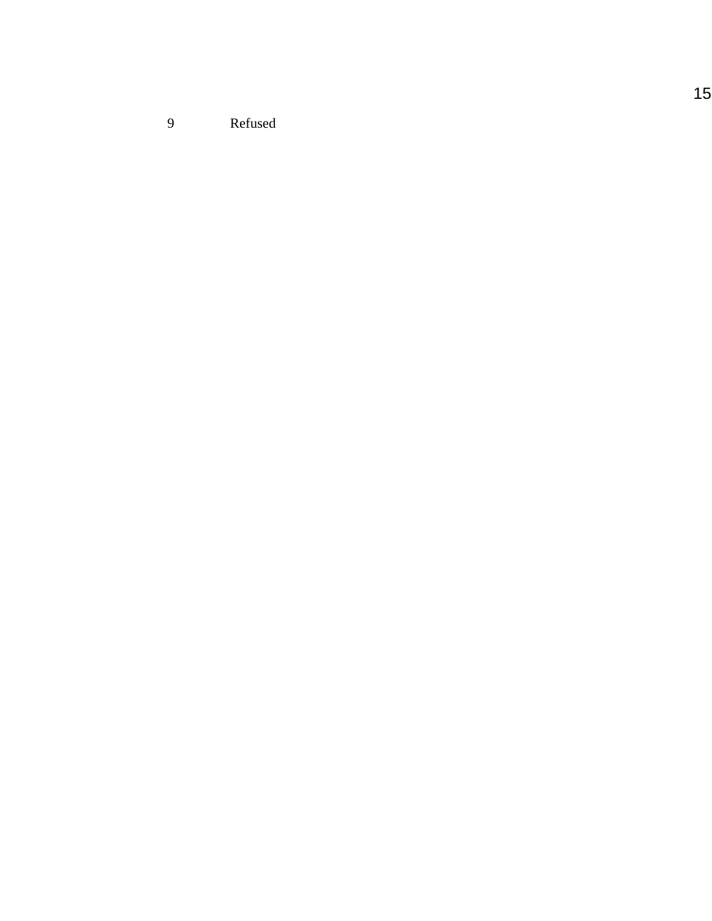9 Refused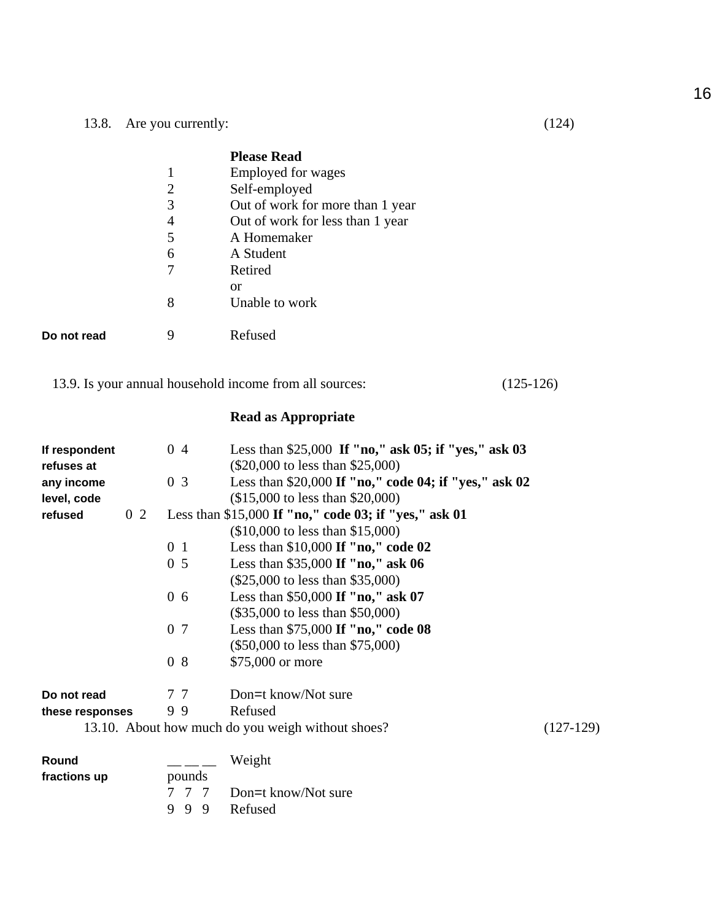|             |   | <b>Please Read</b>               |
|-------------|---|----------------------------------|
|             | 1 | Employed for wages               |
|             | 2 | Self-employed                    |
|             | 3 | Out of work for more than 1 year |
|             | 4 | Out of work for less than 1 year |
|             | 5 | A Homemaker                      |
|             | 6 | A Student                        |
|             |   | Retired                          |
|             |   | <b>or</b>                        |
|             | 8 | Unable to work                   |
|             |   |                                  |
| Do not read | 9 | Refused                          |
|             |   |                                  |

13.9. Is your annual household income from all sources: (125-126)

## **Read as Appropriate**

| If respondent   |                | 04             | Less than \$25,000 If "no," ask $05$ ; if "yes," ask $03$ |             |
|-----------------|----------------|----------------|-----------------------------------------------------------|-------------|
| refuses at      |                |                | $(\$20,000$ to less than $\$25,000$                       |             |
| any income      |                | 0 <sub>3</sub> | Less than \$20,000 If "no," code 04; if "yes," ask 02     |             |
| level, code     |                |                | $($15,000$ to less than \$20,000)                         |             |
| refused         | 0 <sub>2</sub> |                | Less than \$15,000 If "no," code 03; if "yes," ask 01     |             |
|                 |                |                | $($10,000$ to less than $$15,000$ )                       |             |
|                 |                | 0 <sub>1</sub> | Less than $$10,000$ If "no," code 02                      |             |
|                 |                | 0 <sub>5</sub> | Less than $$35,000$ If "no," ask 06                       |             |
|                 |                |                | $(\$25,000$ to less than \$35,000)                        |             |
|                 |                | $0\,6$         | Less than $$50,000$ If "no," ask 07                       |             |
|                 |                |                | $(\$35,000$ to less than $\$50,000$                       |             |
|                 |                | 0 7            | Less than \$75,000 If "no," code 08                       |             |
|                 |                |                | (\$50,000 to less than \$75,000)                          |             |
|                 |                | 08             | \$75,000 or more                                          |             |
| Do not read     |                | 77             | Don=t know/Not sure                                       |             |
| these responses |                | 99             | Refused                                                   |             |
|                 |                |                | 13.10. About how much do you weigh without shoes?         | $(127-129)$ |
| Round           |                |                | Weight                                                    |             |
| fractions up    |                | pounds         |                                                           |             |
|                 |                |                | Don=t know/Not sure                                       |             |
|                 | 9              | 9<br>9         | Refused                                                   |             |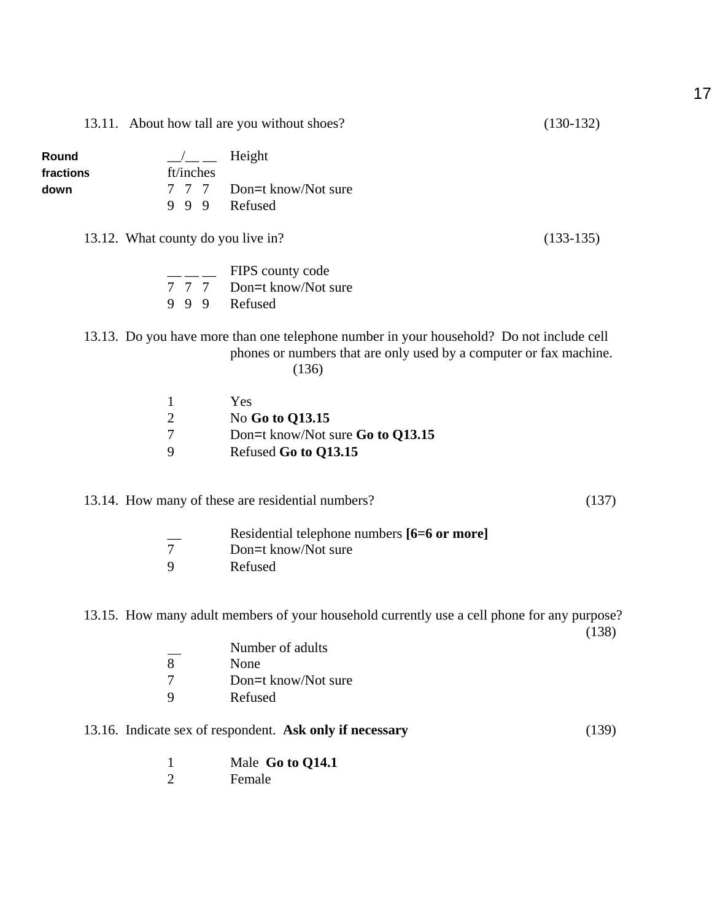|           |                                    | 13.11. About how tall are you without shoes?                                                                                                                            | $(130-132)$ |
|-----------|------------------------------------|-------------------------------------------------------------------------------------------------------------------------------------------------------------------------|-------------|
| Round     |                                    | Height                                                                                                                                                                  |             |
| fractions | ft/inches                          |                                                                                                                                                                         |             |
| down      |                                    | 7 7 7 Don=t know/Not sure                                                                                                                                               |             |
|           | 999                                | Refused                                                                                                                                                                 |             |
|           | 13.12. What county do you live in? |                                                                                                                                                                         | $(133-135)$ |
|           |                                    | FIPS county code                                                                                                                                                        |             |
|           |                                    | 7 7 7 Don=t know/Not sure                                                                                                                                               |             |
|           | 9 9 9 Refused                      |                                                                                                                                                                         |             |
|           |                                    | 13.13. Do you have more than one telephone number in your household? Do not include cell<br>phones or numbers that are only used by a computer or fax machine.<br>(136) |             |
|           | 1                                  | Yes                                                                                                                                                                     |             |
|           | $\overline{2}$                     | No Go to Q13.15                                                                                                                                                         |             |
|           |                                    |                                                                                                                                                                         |             |

- 7 Don=t know/Not sure **Go to Q13.15**<br>9 Refused **Go to O13.15**
- 9 Refused **Go to Q13.15**

13.14. How many of these are residential numbers? (137)

|   | Residential telephone numbers [6=6 or more] |
|---|---------------------------------------------|
|   | Don=t know/Not sure                         |
| Q | Refused                                     |

13.15. How many adult members of your household currently use a cell phone for any purpose?

(138)

 $\frac{1}{8}$  Number of adults 8 None<br>7 Don=1 Don=t know/Not sure 9 Refused

## 13.16. Indicate sex of respondent. **Ask only if necessary** (139)

- 1 Male **Go to Q14.1**
- 2 Female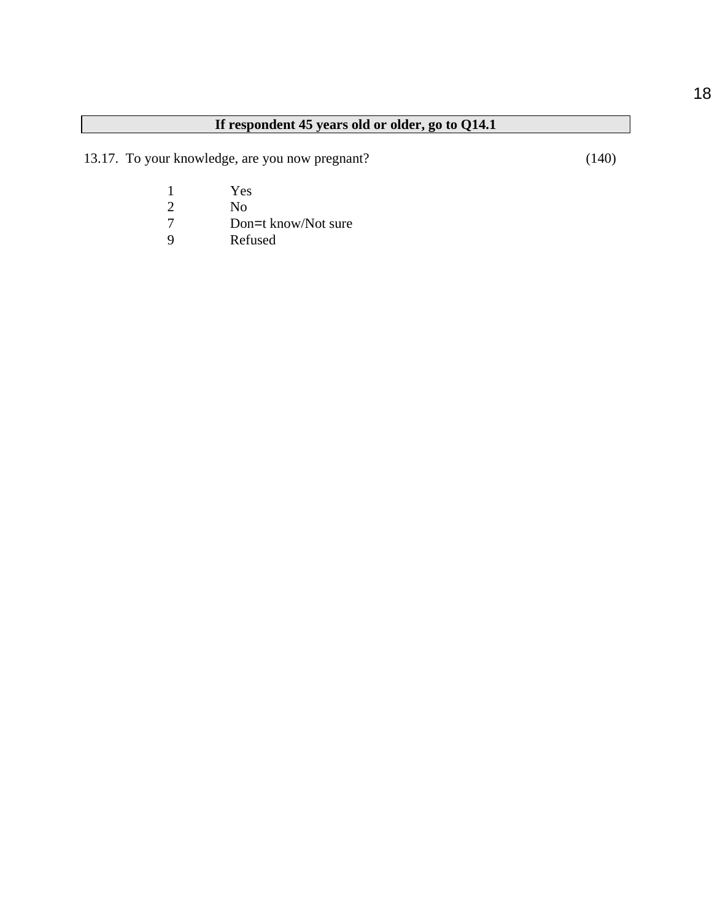# **If respondent 45 years old or older, go to Q14.1**

13.17. To your knowledge, are you now pregnant? (140)

- 1 Yes<br>
2 No<br>
7 Don
- 2 No
- 7 Don=t know/Not sure<br>9 Refused
- Refused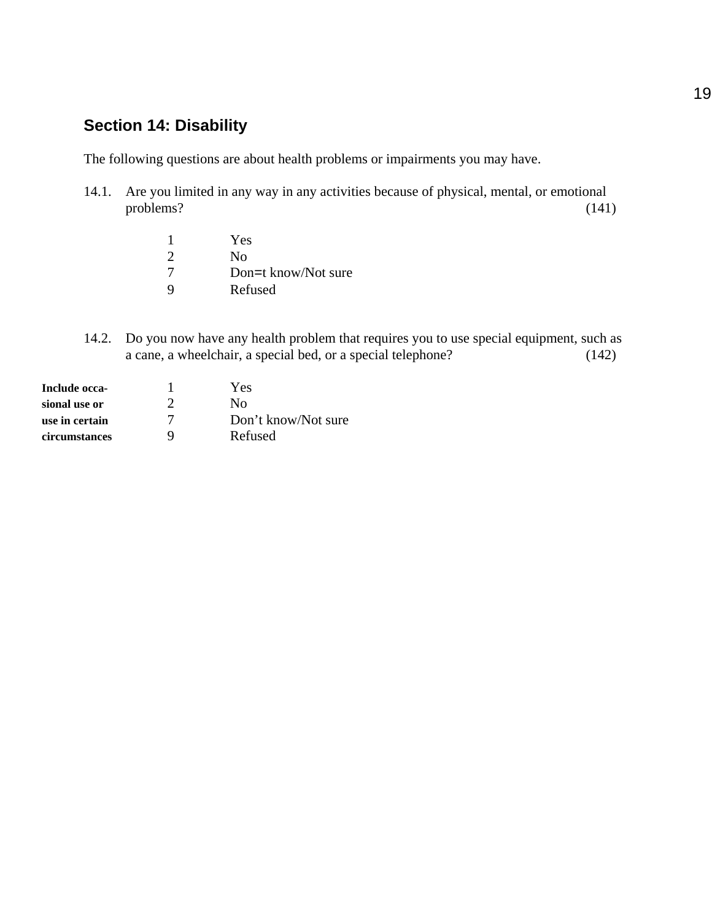# **Section 14: Disability**

The following questions are about health problems or impairments you may have.

- 14.1. Are you limited in any way in any activities because of physical, mental, or emotional problems? (141)
	- 1 Yes 2 No 7 Don=t know/Not sure<br>9 Refused **Refused**
- 14.2. Do you now have any health problem that requires you to use special equipment, such as a cane, a wheelchair, a special bed, or a special telephone? (142)

| Include occa-  |   | Yes                 |
|----------------|---|---------------------|
| sional use or  |   | Nο                  |
| use in certain |   | Don't know/Not sure |
| circumstances  | Q | Refused             |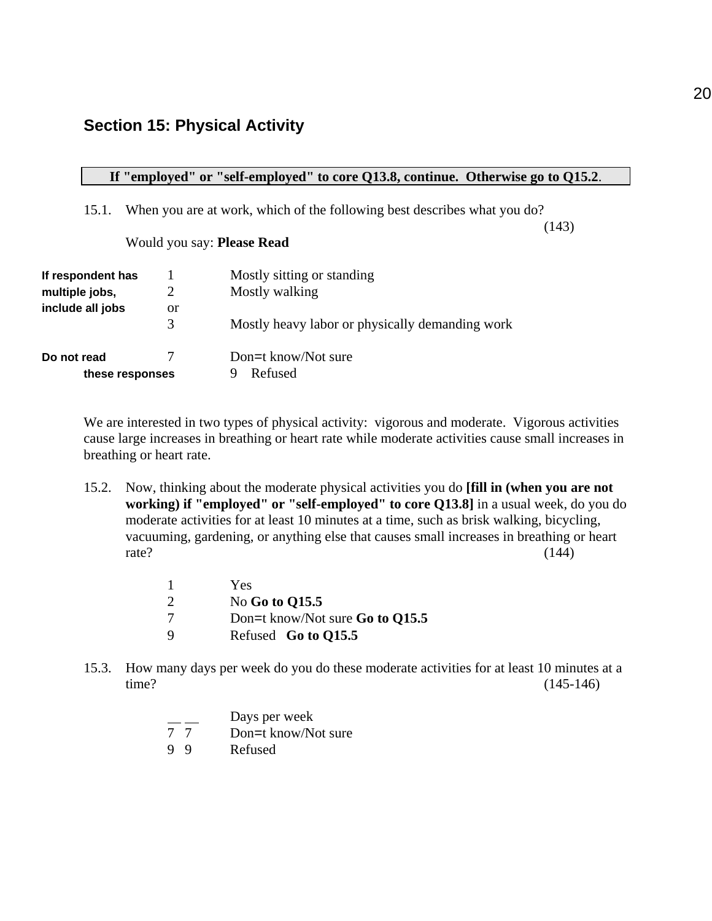## **Section 15: Physical Activity**

### **If "employed" or "self-employed" to core Q13.8, continue. Otherwise go to Q15.2**.

15.1. When you are at work, which of the following best describes what you do?

(143)

### Would you say: **Please Read**

| If respondent has<br>multiple jobs, | 2       | Mostly sitting or standing<br>Mostly walking    |
|-------------------------------------|---------|-------------------------------------------------|
| include all jobs                    | or<br>3 | Mostly heavy labor or physically demanding work |
| Do not read<br>these responses      |         | Don=t know/Not sure<br>Refused                  |

We are interested in two types of physical activity: vigorous and moderate. Vigorous activities cause large increases in breathing or heart rate while moderate activities cause small increases in breathing or heart rate.

15.2. Now, thinking about the moderate physical activities you do **[fill in (when you are not working) if "employed" or "self-employed" to core Q13.8]** in a usual week, do you do moderate activities for at least 10 minutes at a time, such as brisk walking, bicycling, vacuuming, gardening, or anything else that causes small increases in breathing or heart rate?  $(144)$ 

|   | Yes                             |
|---|---------------------------------|
| 2 | No Go to Q15.5                  |
| 7 | Don=t know/Not sure Go to Q15.5 |
| 9 | Refused Go to Q15.5             |

15.3. How many days per week do you do these moderate activities for at least 10 minutes at a time? (145-146)

|    |    | Days per week       |
|----|----|---------------------|
| 77 |    | Don=t know/Not sure |
|    | 99 | Refused             |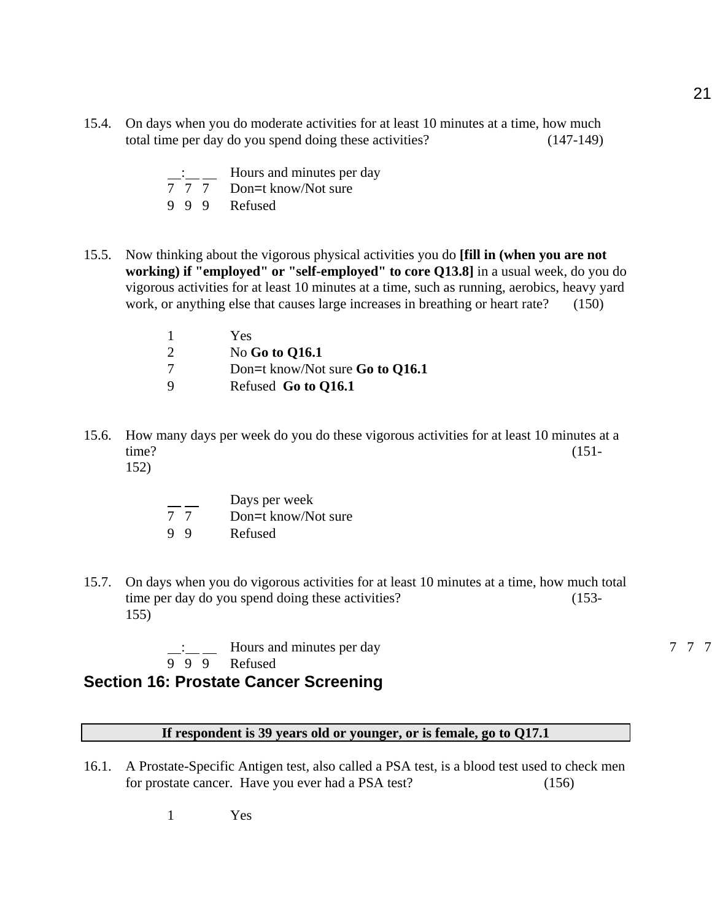- 15.4. On days when you do moderate activities for at least 10 minutes at a time, how much total time per day do you spend doing these activities? (147-149)
	- $\frac{1}{7}$ :  $\frac{1}{7}$  Hours and minutes per day<br>7 7 Don=t know/Not sure Don=t know/Not sure 9 9 9 Refused
- 15.5. Now thinking about the vigorous physical activities you do **[fill in (when you are not working) if "employed" or "self-employed" to core Q13.8]** in a usual week, do you do vigorous activities for at least 10 minutes at a time, such as running, aerobics, heavy yard work, or anything else that causes large increases in breathing or heart rate? (150)

|          | Yes.                            |
|----------|---------------------------------|
| 2        | No Go to Q16.1                  |
|          | Don=t know/Not sure Go to Q16.1 |
| <b>Q</b> | Refused Go to Q16.1             |

- 15.6. How many days per week do you do these vigorous activities for at least 10 minutes at a time? (151- 152)
	-
- Days per week
- 7 7 Don=t know/Not sure
- 9 9 Refused
- 15.7. On days when you do vigorous activities for at least 10 minutes at a time, how much total time per day do you spend doing these activities? (153-155)

 $\frac{1}{7}$  Hours and minutes per day  $\frac{7}{7}$  7 7 7 9 9 9 Refused

## **Section 16: Prostate Cancer Screening**

#### **If respondent is 39 years old or younger, or is female, go to Q17.1**

16.1. A Prostate-Specific Antigen test, also called a PSA test, is a blood test used to check men for prostate cancer. Have you ever had a PSA test? (156)

1 Yes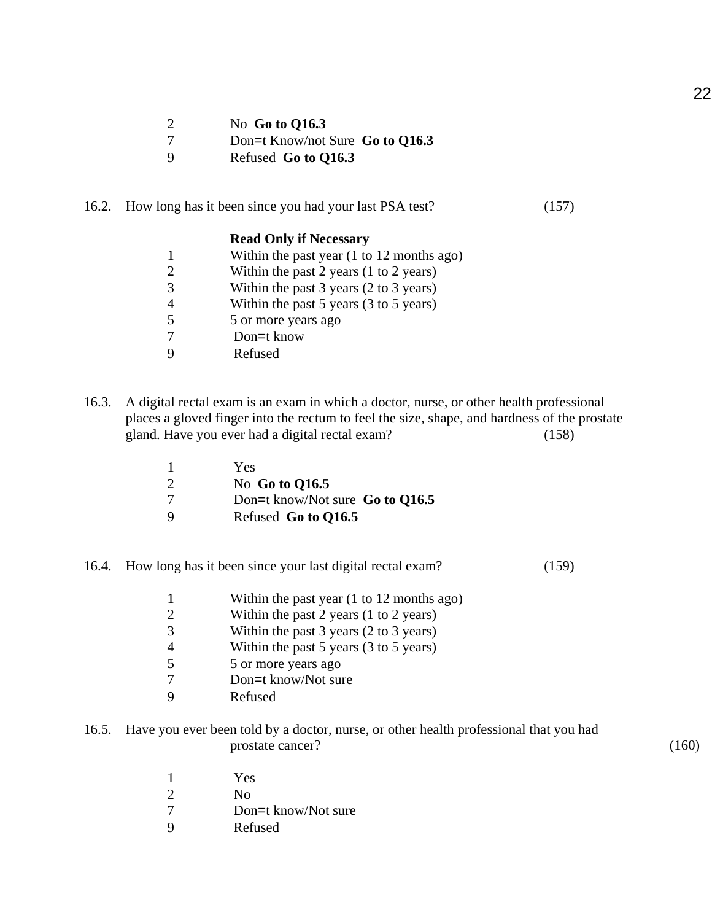| 2 |  |  | No Go to $Q16.3$ |
|---|--|--|------------------|
|---|--|--|------------------|

- 7 Don=t Know/not Sure **Go to Q16.3**<br>9 Refused **Go to O16.3**
- 9 Refused **Go to Q16.3**

### 16.2. How long has it been since you had your last PSA test? (157)

#### **Read Only if Necessary**

|                          | Within the past year $(1 \text{ to } 12 \text{ months ago})$ |
|--------------------------|--------------------------------------------------------------|
|                          | Within the past 2 years $(1 to 2 years)$                     |
|                          | Within the past $3$ years $(2 \text{ to } 3 \text{ years})$  |
|                          | Within the past $5$ years $(3 \text{ to } 5 \text{ years})$  |
| $\overline{\phantom{1}}$ | 5 or more years ago                                          |
|                          | Don=t know                                                   |
|                          | Refused                                                      |

16.3. A digital rectal exam is an exam in which a doctor, nurse, or other health professional places a gloved finger into the rectum to feel the size, shape, and hardness of the prostate gland. Have you ever had a digital rectal exam? (158)

|   | Yes                               |
|---|-----------------------------------|
|   | No Go to Q16.5                    |
|   | Don=t know/Not sure Go to $Q16.5$ |
| Q | Refused Go to Q16.5               |

16.4. How long has it been since your last digital rectal exam? (159)

|                          | Within the past year $(1 \text{ to } 12 \text{ months ago})$ |
|--------------------------|--------------------------------------------------------------|
|                          | Within the past 2 years $(1 \text{ to } 2 \text{ years})$    |
| $\mathcal{R}$            | Within the past $3$ years $(2 \text{ to } 3 \text{ years})$  |
|                          | Within the past $5$ years $(3 \text{ to } 5 \text{ years})$  |
| $\overline{\phantom{1}}$ | 5 or more years ago                                          |
|                          | Don=t know/Not sure                                          |

- 9 Refused
- 16.5. Have you ever been told by a doctor, nurse, or other health professional that you had prostate cancer? (160)

| -1                          | Yes                 |
|-----------------------------|---------------------|
| $\mathcal{D}_{\mathcal{L}}$ | No.                 |
| 7                           | Don=t know/Not sure |
| 9                           | Refused             |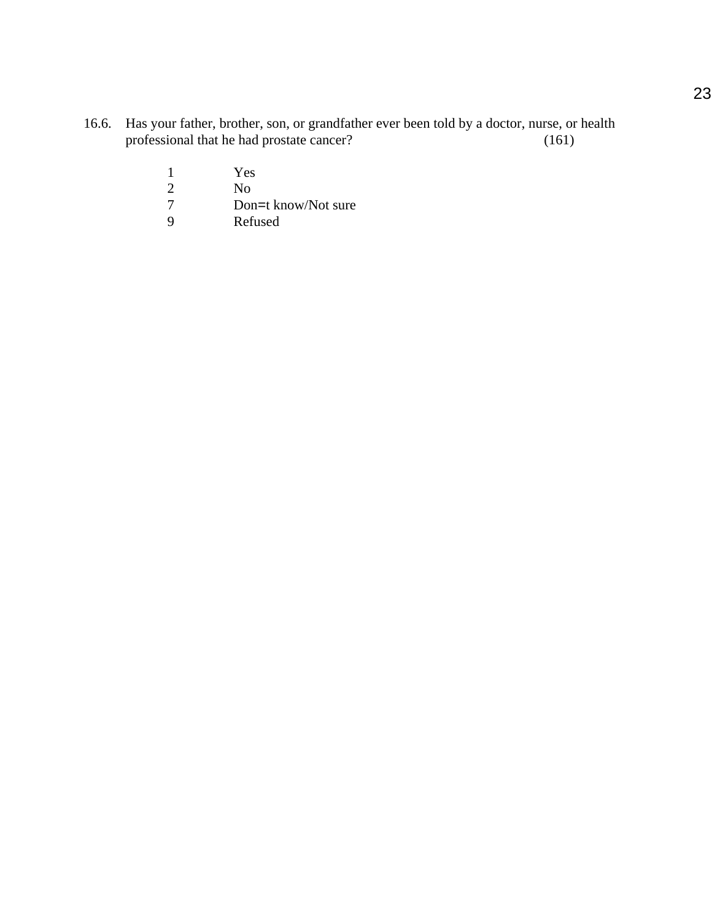- 16.6. Has your father, brother, son, or grandfather ever been told by a doctor, nurse, or health professional that he had prostate cancer? (161)
	- 1 Yes<br>
	2 No<br>
	7 Don
	- No.
	- 7 Don=t know/Not sure<br>9 Refused
	- Refused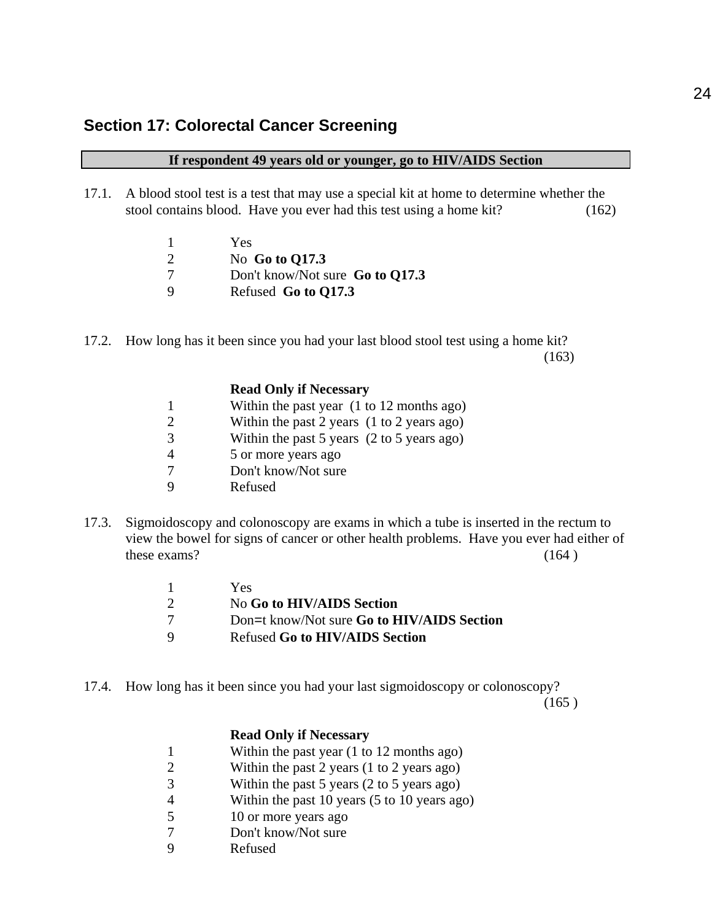#### **If respondent 49 years old or younger, go to HIV/AIDS Section**

- 17.1. A blood stool test is a test that may use a special kit at home to determine whether the stool contains blood. Have you ever had this test using a home kit? (162)
	- 1 Yes 2 No **Go to Q17.3** 7 Don't know/Not sure **Go to Q17.3** 9 Refused **Go to Q17.3**
- 17.2. How long has it been since you had your last blood stool test using a home kit?  $(163)$

|                             | <b>Read Only if Necessary</b>                                |
|-----------------------------|--------------------------------------------------------------|
|                             | Within the past year $(1 \text{ to } 12 \text{ months ago})$ |
| $\mathcal{D}_{\mathcal{L}}$ | Within the past 2 years $(1 to 2 years ago)$                 |
| 3                           | Within the past 5 years (2 to 5 years ago)                   |
|                             | 5 or more years ago                                          |
|                             | Don't know/Not sure                                          |
|                             | Refused                                                      |

17.3. Sigmoidoscopy and colonoscopy are exams in which a tube is inserted in the rectum to view the bowel for signs of cancer or other health problems. Have you ever had either of these exams?  $(164)$ 

| $\mathbf{1}$ | Yes.                                       |
|--------------|--------------------------------------------|
| 2            | No Go to HIV/AIDS Section                  |
| 7            | Don=t know/Not sure Go to HIV/AIDS Section |
| Q            | <b>Refused Go to HIV/AIDS Section</b>      |

17.4. How long has it been since you had your last sigmoidoscopy or colonoscopy?

 $(165)$ 

#### **Read Only if Necessary**

- 1 Within the past year (1 to 12 months ago)
- 2 Within the past 2 years (1 to 2 years ago)
- 3 Within the past 5 years (2 to 5 years ago)
- 4 Within the past 10 years (5 to 10 years ago)
- 5 10 or more years ago
- 7 Don't know/Not sure
- 9 Refused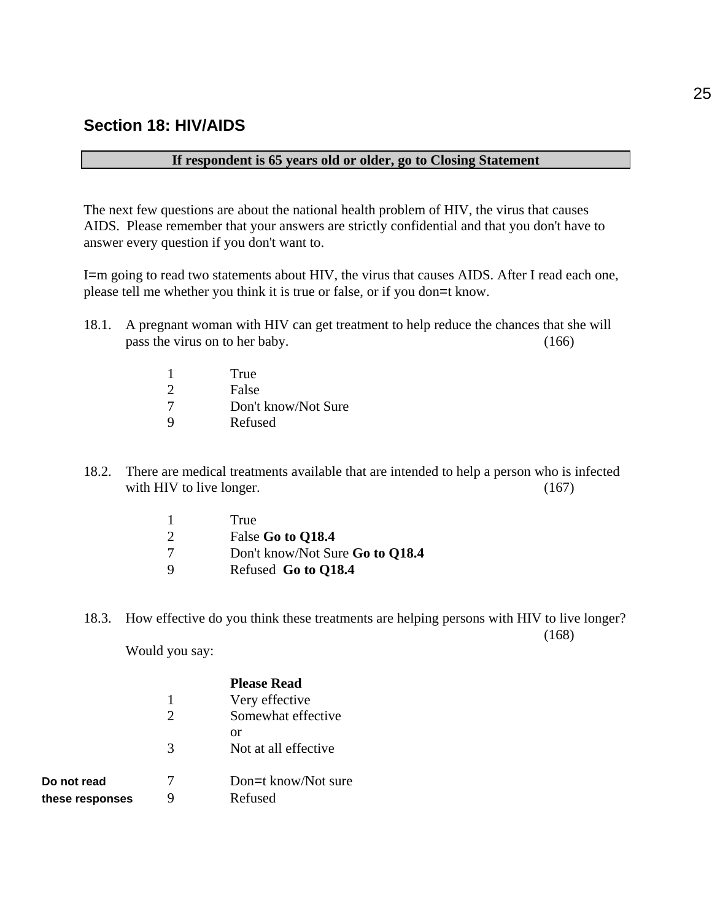## **Section 18: HIV/AIDS**

#### **If respondent is 65 years old or older, go to Closing Statement**

The next few questions are about the national health problem of HIV, the virus that causes AIDS. Please remember that your answers are strictly confidential and that you don't have to answer every question if you don't want to.

I=m going to read two statements about HIV, the virus that causes AIDS. After I read each one, please tell me whether you think it is true or false, or if you don=t know.

- 18.1. A pregnant woman with HIV can get treatment to help reduce the chances that she will pass the virus on to her baby. (166)
	- 1 True 2 False 7 Don't know/Not Sure 9 Refused
- 18.2. There are medical treatments available that are intended to help a person who is infected with HIV to live longer.  $(167)$ 
	- 1 True 2 False **Go to Q18.4** 7 Don't know/Not Sure **Go to Q18.4** 9 Refused **Go to Q18.4**
- 18.3. How effective do you think these treatments are helping persons with HIV to live longer? (168)

Would you say:

**Do not read** these responses

|                             | <b>Please Read</b>             |
|-----------------------------|--------------------------------|
| 1                           | Very effective                 |
| $\mathcal{D}_{\mathcal{A}}$ | Somewhat effective             |
| 3                           | or<br>Not at all effective     |
|                             | Don=t know/Not sure<br>Refused |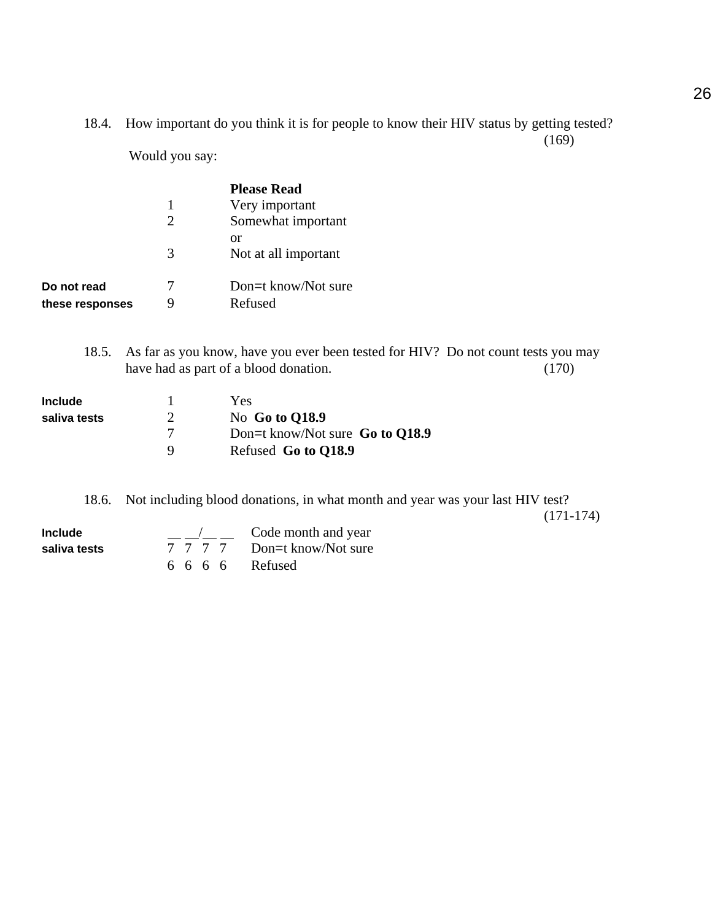18.4. How important do you think it is for people to know their HIV status by getting tested? (169)

Would you say:

|                 |                             | <b>Please Read</b>   |
|-----------------|-----------------------------|----------------------|
|                 |                             | Very important       |
|                 | $\mathcal{D}_{\mathcal{L}}$ | Somewhat important   |
|                 |                             | or                   |
|                 | 3                           | Not at all important |
| Do not read     | 7                           | Don=t know/Not sure  |
| these responses | 9                           | Refused              |

18.5. As far as you know, have you ever been tested for HIV? Do not count tests you may have had as part of a blood donation. (170)

| <b>Include</b> |               | Yes.                              |
|----------------|---------------|-----------------------------------|
| saliva tests   | $\mathcal{D}$ | No Go to Q18.9                    |
|                |               | Don=t know/Not sure Go to $Q18.9$ |
|                | Q             | Refused Go to Q18.9               |

18.6. Not including blood donations, in what month and year was your last HIV test?

(171-174)

| Include      |                      | Code month and year         |
|--------------|----------------------|-----------------------------|
| saliva tests |                      | 7 7 7 7 Don=t know/Not sure |
|              | $6\ 6\ 6\ 6$ Refused |                             |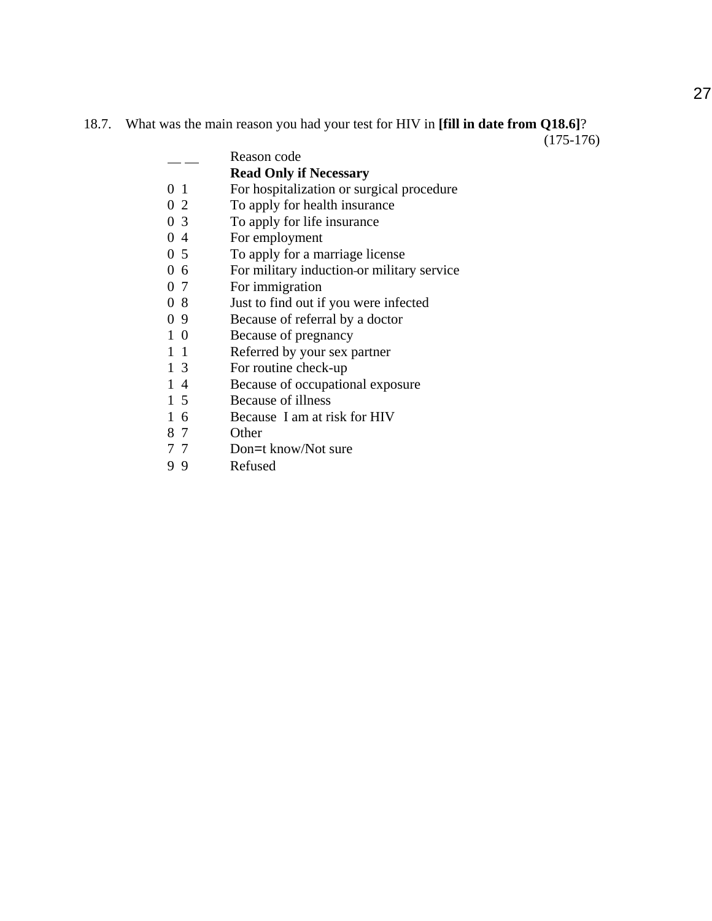## 18.7. What was the main reason you had your test for HIV in **[fill in date from Q18.6]**?

 $(175-176)$ 

|                | Reason code                                |
|----------------|--------------------------------------------|
|                | <b>Read Only if Necessary</b>              |
| 0 <sub>1</sub> | For hospitalization or surgical procedure  |
| 0 <sub>2</sub> | To apply for health insurance              |
| 0 <sub>3</sub> | To apply for life insurance                |
| 04             | For employment                             |
| 0 <sub>5</sub> | To apply for a marriage license            |
| 06             | For military induction or military service |
| 0 7            | For immigration                            |
| 08             | Just to find out if you were infected      |
| 09             | Because of referral by a doctor            |
| 10             | Because of pregnancy                       |
| $1\quad1$      | Referred by your sex partner               |
| 1 3            | For routine check-up                       |
| 14             | Because of occupational exposure           |
| 1 5            | Because of illness                         |
| 16             | Because I am at risk for HIV               |
| 87             | Other                                      |
| <i>—</i>       | $\mathbf{D}$ $\mathbf{I}$ $\mathbf{N}$     |

7 7 Don=t know/Not sure<br>9 9 Refused Refused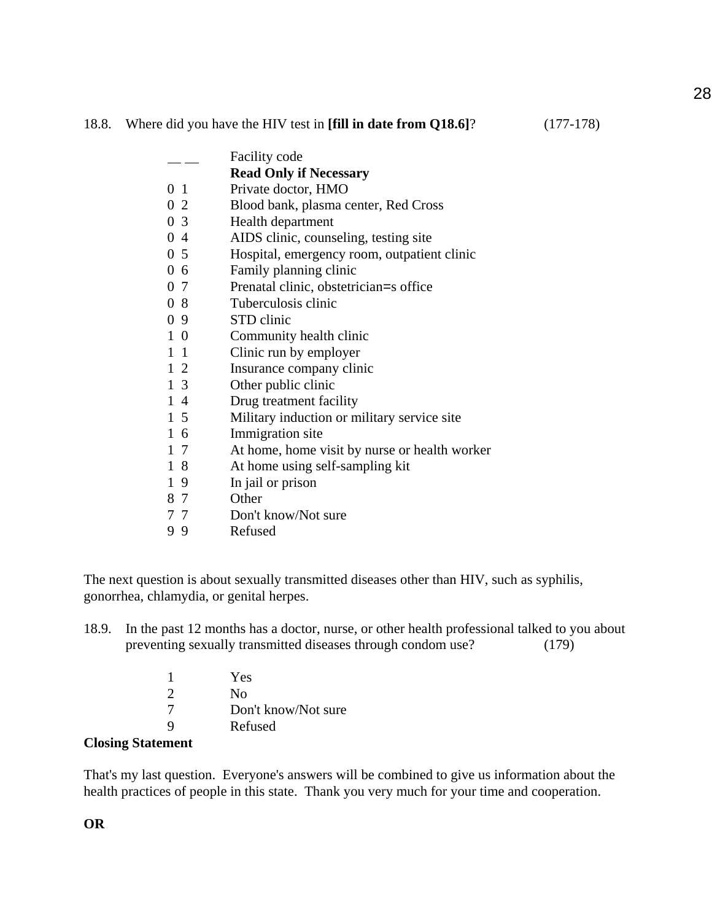#### 18.8. Where did you have the HIV test in **[fill in date from Q18.6]**? (177-178)

|                | <b>Facility code</b>                          |
|----------------|-----------------------------------------------|
|                | <b>Read Only if Necessary</b>                 |
| 0 <sub>1</sub> | Private doctor, HMO                           |
| 0 2            | Blood bank, plasma center, Red Cross          |
| 0 <sub>3</sub> | Health department                             |
| 04             | AIDS clinic, counseling, testing site         |
| $0\,5$         | Hospital, emergency room, outpatient clinic   |
| 06             | Family planning clinic                        |
| 0 7            | Prenatal clinic, obstetrician=s office        |
| 08             | Tuberculosis clinic                           |
| 09             | STD clinic                                    |
| $1\,0$         | Community health clinic                       |
| $1\quad1$      | Clinic run by employer                        |
| $1\,2$         | Insurance company clinic                      |
| $1\,3$         | Other public clinic                           |
| $1\,4$         | Drug treatment facility                       |
| $1\,5$         | Military induction or military service site   |
| $1\text{ }6$   | Immigration site                              |
| $1\,7$         | At home, home visit by nurse or health worker |
| 18             | At home using self-sampling kit               |
| 19             | In jail or prison                             |
| 87             | Other                                         |
| 77             | Don't know/Not sure                           |
| 99             | Refused                                       |

The next question is about sexually transmitted diseases other than HIV, such as syphilis, gonorrhea, chlamydia, or genital herpes.

18.9. In the past 12 months has a doctor, nurse, or other health professional talked to you about preventing sexually transmitted diseases through condom use? (179)

| Yes                 |
|---------------------|
| Nο                  |
| Don't know/Not sure |
| Refused             |

#### **Closing Statement**

That's my last question. Everyone's answers will be combined to give us information about the health practices of people in this state. Thank you very much for your time and cooperation.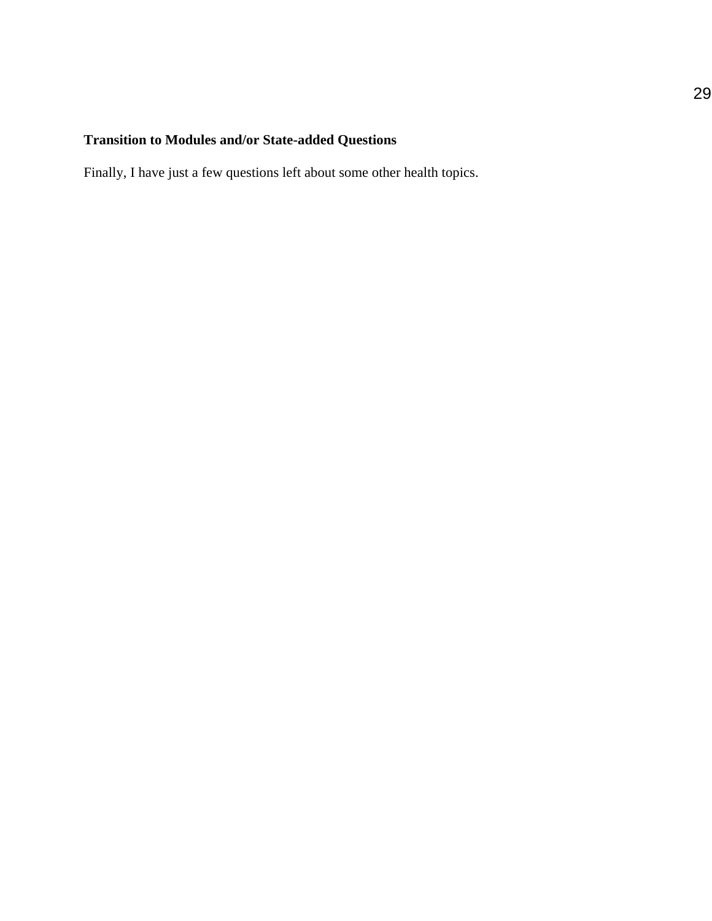## **Transition to Modules and/or State-added Questions**

Finally, I have just a few questions left about some other health topics.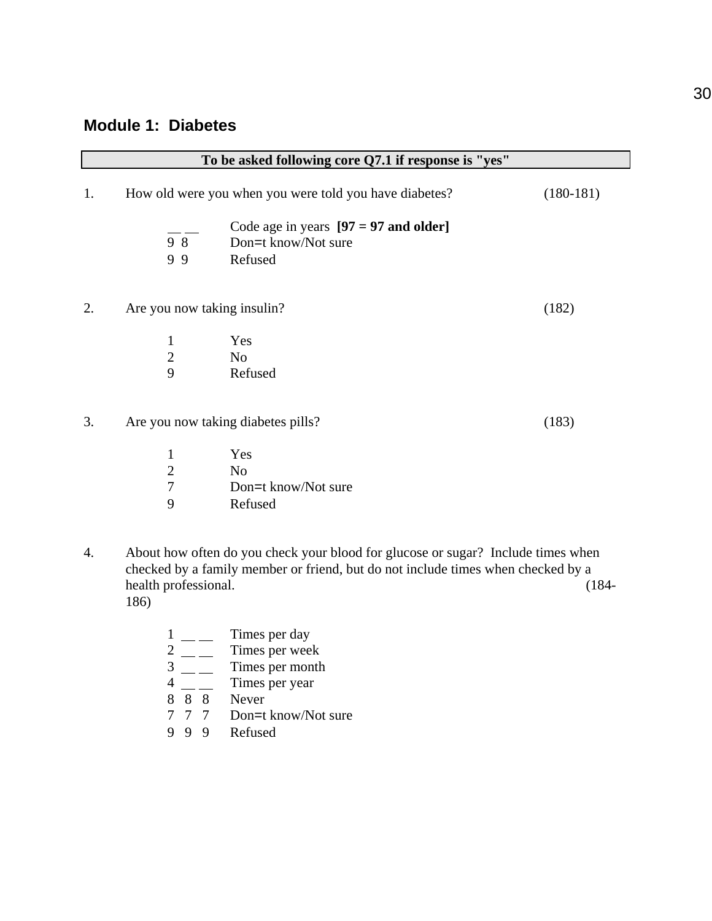## **Module 1: Diabetes**

|    | To be asked following core Q7.1 if response is "yes" |                                                                                                                                                                                                                                                                                                                                            |                        |  |
|----|------------------------------------------------------|--------------------------------------------------------------------------------------------------------------------------------------------------------------------------------------------------------------------------------------------------------------------------------------------------------------------------------------------|------------------------|--|
| 1. |                                                      | How old were you when you were told you have diabetes?                                                                                                                                                                                                                                                                                     | $(180-181)$            |  |
|    | 98<br>99                                             | Code age in years $[97 = 97$ and older]<br>Don=t know/Not sure<br>Refused                                                                                                                                                                                                                                                                  |                        |  |
| 2. | Are you now taking insulin?                          |                                                                                                                                                                                                                                                                                                                                            | (182)                  |  |
|    | $\mathbf 1$                                          | Yes                                                                                                                                                                                                                                                                                                                                        |                        |  |
|    | $\overline{2}$                                       | N <sub>o</sub>                                                                                                                                                                                                                                                                                                                             |                        |  |
|    | 9                                                    | Refused                                                                                                                                                                                                                                                                                                                                    |                        |  |
| 3. |                                                      | Are you now taking diabetes pills?                                                                                                                                                                                                                                                                                                         | (183)                  |  |
|    | $\mathbf{1}$                                         | Yes                                                                                                                                                                                                                                                                                                                                        |                        |  |
|    | $\overline{2}$                                       | N <sub>o</sub>                                                                                                                                                                                                                                                                                                                             |                        |  |
|    | $\overline{7}$                                       | Don=t know/Not sure                                                                                                                                                                                                                                                                                                                        |                        |  |
|    | 9                                                    | Refused                                                                                                                                                                                                                                                                                                                                    |                        |  |
|    |                                                      | $\mathbf{A} \mathbf{1}$ and $\mathbf{A} \mathbf{1}$ and $\mathbf{A} \mathbf{1}$ and $\mathbf{A} \mathbf{1}$ and $\mathbf{A} \mathbf{1}$ and $\mathbf{A} \mathbf{1}$ and $\mathbf{A} \mathbf{1}$ and $\mathbf{A} \mathbf{1}$ and $\mathbf{A} \mathbf{1}$ and $\mathbf{A} \mathbf{1}$ and $\mathbf{A} \mathbf{1}$ and $\mathbf{A} \mathbf{1$ | $\Omega$ T 1 1 $\cdot$ |  |

4. About how often do you check your blood for glucose or sugar? Include times when checked by a family member or friend, but do not include times when checked by a health professional. 186)

|               |    | Times per day       |
|---------------|----|---------------------|
| 2             |    | Times per week      |
| 3             |    | Times per month     |
| 4             |    | Times per year      |
| $\mathsf{\ }$ | 88 | Never               |
|               |    | Don=t know/Not sure |
|               |    | Refused             |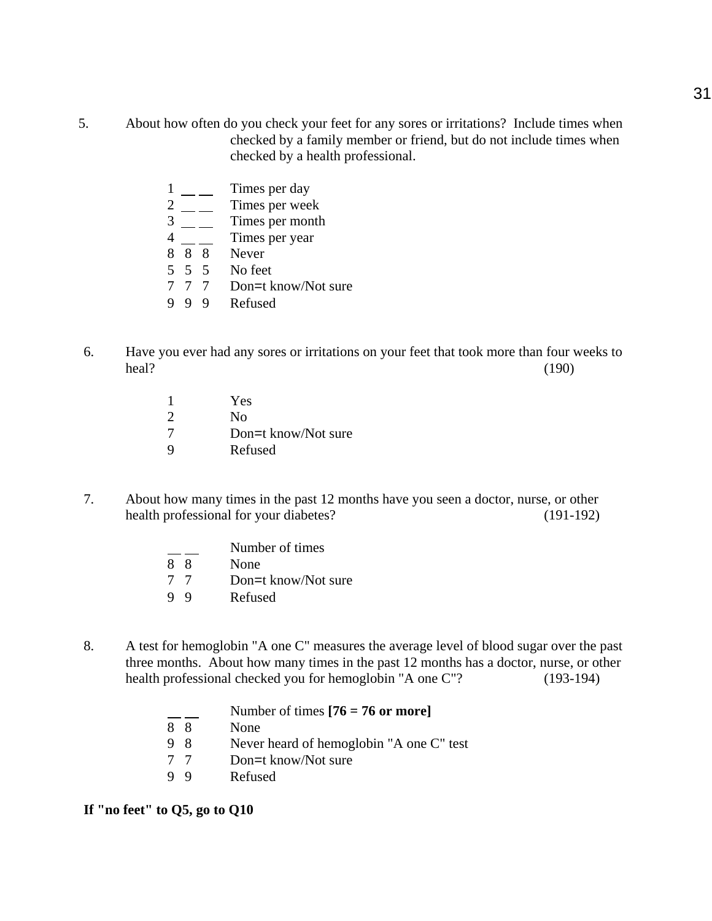- 5. About how often do you check your feet for any sores or irritations? Include times when checked by a family member or friend, but do not include times when checked by a health professional.
	- $1 \_\_\_\_$  Times per day 2 \_\_ Times per week  $\frac{3}{4}$  — Times per month Times per year 8 8 8 Never 5 5 5 No feet 7 7 7 Don=t know/Not sure 9 9 9 Refused
- 6. Have you ever had any sores or irritations on your feet that took more than four weeks to  $\text{heal?}$  (190)
	- 1 Yes 2 No 7 Don=t know/Not sure 9 Refused
- 7. About how many times in the past 12 months have you seen a doctor, nurse, or other health professional for your diabetes? (191-192)
	- Number of times 8 8 None 7 7 Don=t know/Not sure 9 9 Refused
- 8. A test for hemoglobin "A one C" measures the average level of blood sugar over the past three months. About how many times in the past 12 months has a doctor, nurse, or other health professional checked you for hemoglobin "A one C"? (193-194)
	- Number of times **[76 = 76 or more]** 8 8 None 9 8 Never heard of hemoglobin "A one C" test 7 7 Don=t know/Not sure 9 9 Refused

**If "no feet" to Q5, go to Q10**

31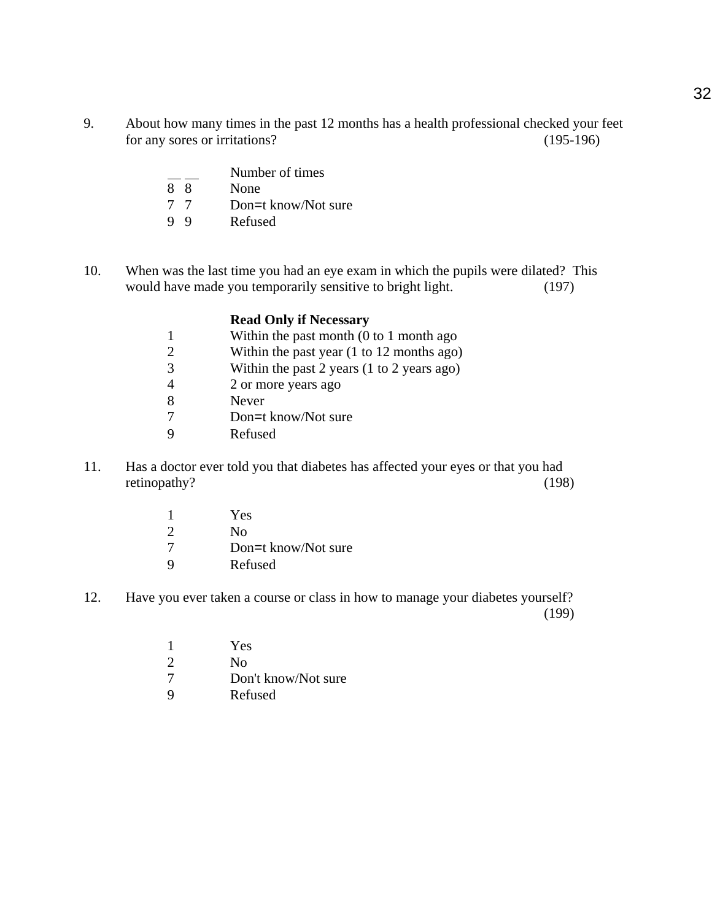- 9. About how many times in the past 12 months has a health professional checked your feet for any sores or irritations? (195-196)
	- $\frac{1}{8}$  Number of times<br>None
	- None
	- 7 7 Don=t know/Not sure<br>9 9 Refused
	- **Refused**
- 10. When was the last time you had an eye exam in which the pupils were dilated? This would have made you temporarily sensitive to bright light. (197)

|               | <b>Read Only if Necessary</b>                                |
|---------------|--------------------------------------------------------------|
|               | Within the past month $(0 \text{ to } 1 \text{ month ago})$  |
| 2             | Within the past year $(1 \text{ to } 12 \text{ months ago})$ |
| $\mathcal{R}$ | Within the past 2 years $(1 to 2 years ago)$                 |
|               | 2 or more years ago                                          |
| 8             | Never                                                        |
|               | Don=t know/Not sure                                          |
|               | Refused                                                      |

- 11. Has a doctor ever told you that diabetes has affected your eyes or that you had retinopathy? (198)
	- 1 Yes 2 No 7 Don=t know/Not sure<br>9 Refused **Refused**
- 12. Have you ever taken a course or class in how to manage your diabetes yourself? (199)
	- 1 Yes 2 No 7 Don't know/Not sure
	- 9 Refused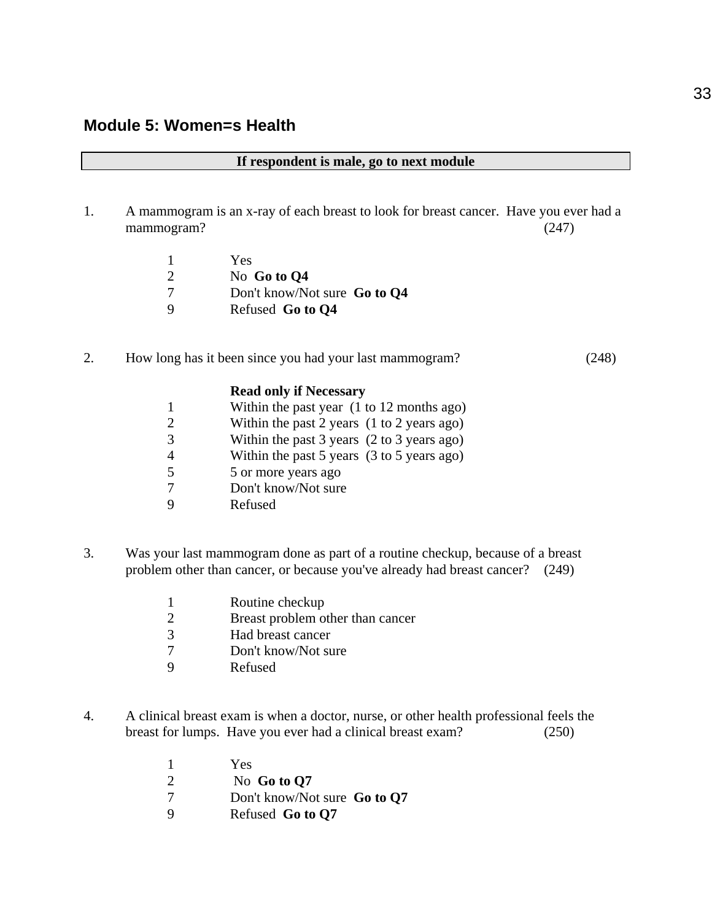|  |  |  |  |  |  | If respondent is male, go to next module |
|--|--|--|--|--|--|------------------------------------------|
|--|--|--|--|--|--|------------------------------------------|

1. A mammogram is an x-ray of each breast to look for breast cancer. Have you ever had a mammogram? (247)

|     | Yes                          |
|-----|------------------------------|
| -2  | No Go to Q4                  |
| - 7 | Don't know/Not sure Go to Q4 |
| -9  | Refused Go to Q4             |

#### 2. How long has it been since you had your last mammogram? (248)

## **Read only if Necessary** 1 Within the past year (1 to 12 months ago) 2 Within the past 2 years (1 to 2 years ago) 3 Within the past 3 years (2 to 3 years ago) 4 Within the past 5 years (3 to 5 years ago)

- 5 5 or more years ago
- 7 Don't know/Not sure
- 9 Refused
- 3. Was your last mammogram done as part of a routine checkup, because of a breast problem other than cancer, or because you've already had breast cancer? (249)

|                | Routine checkup                  |
|----------------|----------------------------------|
| $\overline{2}$ | Breast problem other than cancer |
| -3             | Had breast cancer                |

- 7 Don't know/Not sure<br>9 Refused
- **Refused**
- 4. A clinical breast exam is when a doctor, nurse, or other health professional feels the breast for lumps. Have you ever had a clinical breast exam? (250)
	- 1 Yes 2 No **Go to Q7** 7 Don't know/Not sure **Go to Q7** 9 Refused **Go to Q7**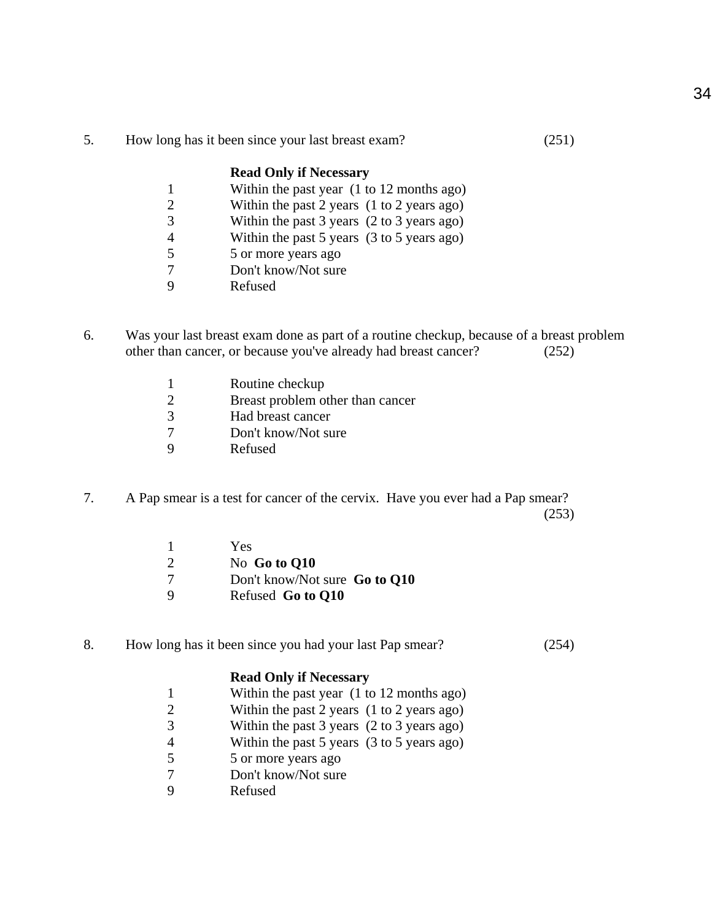5. How long has it been since your last breast exam? (251)

## **Read Only if Necessary**

- 1 Within the past year (1 to 12 months ago)
- 2 Within the past 2 years (1 to 2 years ago)
- 3 Within the past 3 years (2 to 3 years ago)
- 4 Within the past 5 years (3 to 5 years ago)
- 5 5 or more years ago
- 7 Don't know/Not sure
- 9 Refused
- 6. Was your last breast exam done as part of a routine checkup, because of a breast problem other than cancer, or because you've already had breast cancer? (252)
	- 1 Routine checkup
	- 2 Breast problem other than cancer
	- 3 Had breast cancer
	- 7 Don't know/Not sure
	- 9 Refused
- 7. A Pap smear is a test for cancer of the cervix. Have you ever had a Pap smear? (253)
	- 1 Yes 2 No **Go to Q10** 7 Don't know/Not sure **Go to Q10** 9 Refused **Go to Q10**
- 8. How long has it been since you had your last Pap smear? (254)

## **Read Only if Necessary**

- 1 Within the past year (1 to 12 months ago)
- 2 Within the past 2 years (1 to 2 years ago)
- 3 Within the past 3 years (2 to 3 years ago)
- 4 Within the past 5 years (3 to 5 years ago)
- 5 5 or more years ago
- 7 Don't know/Not sure
- 9 Refused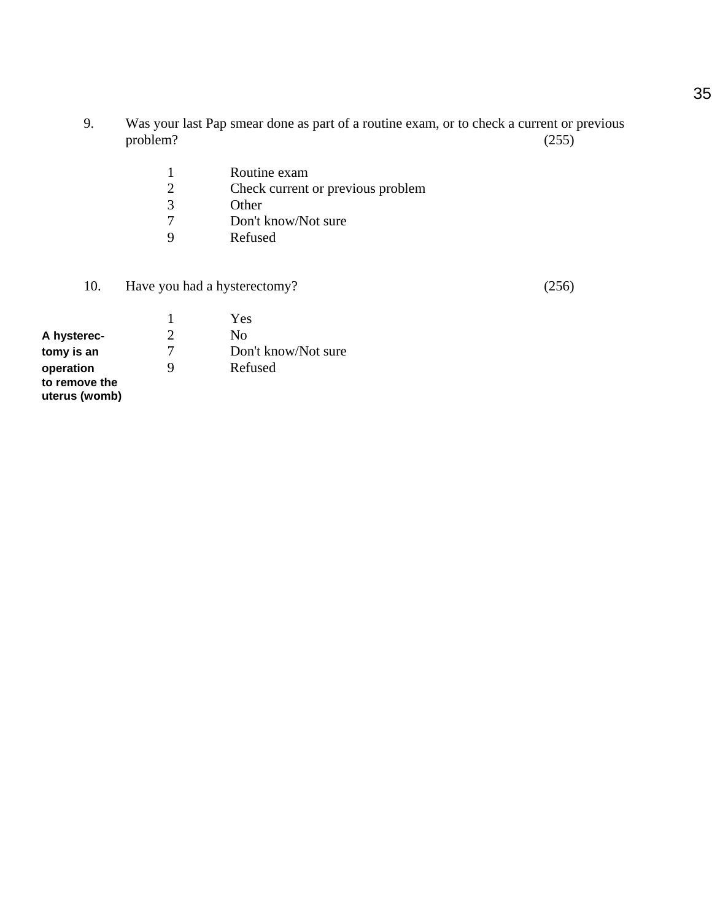- 9. Was your last Pap smear done as part of a routine exam, or to check a current or previous problem? (255)
	- 1 Routine exam<br>2 Check current
	- Check current or previous problem
	- 3 Other<br>7 Don't
	- 7 Don't know/Not sure<br>9 Refused
	- **Refused**
- 10. Have you had a hysterectomy? (256)

1 Yes<br>2 No **A hysterec-** 2 No<br> **bomy is an** 2 Don **tomy is an** 7 Don't know/Not sure **operation** 9 Refused **to remove the uterus (womb)**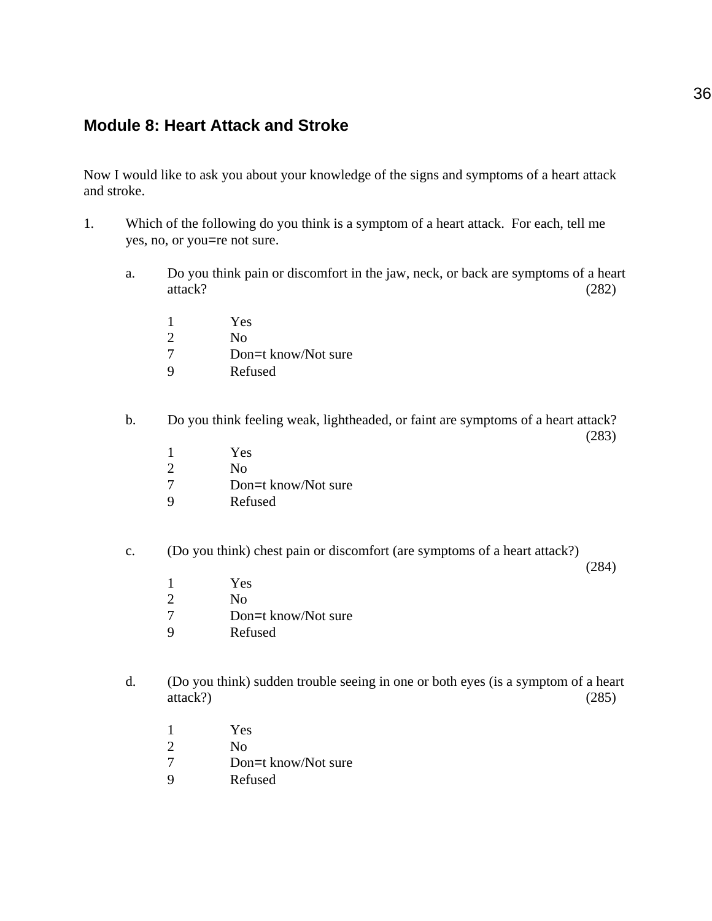## **Module 8: Heart Attack and Stroke**

Now I would like to ask you about your knowledge of the signs and symptoms of a heart attack and stroke.

- 1. Which of the following do you think is a symptom of a heart attack. For each, tell me yes, no, or you=re not sure.
	- a. Do you think pain or discomfort in the jaw, neck, or back are symptoms of a heart attack? (282)
		- 1 Yes 2 No 7 Don=t know/Not sure
		- 9 Refused
	- b. Do you think feeling weak, lightheaded, or faint are symptoms of a heart attack?
		- (283)

- 1 Yes
- 2 No
- 7 Don=t know/Not sure
- 9 Refused
- c. (Do you think) chest pain or discomfort (are symptoms of a heart attack?)

(284)

- 1 Yes
- 2 No
- 7 Don=t know/Not sure
- 9 Refused
- d. (Do you think) sudden trouble seeing in one or both eyes (is a symptom of a heart  $\text{attack?)}$  (285)
	- 1 Yes
	- 2 No
	- 7 Don=t know/Not sure
	- 9 Refused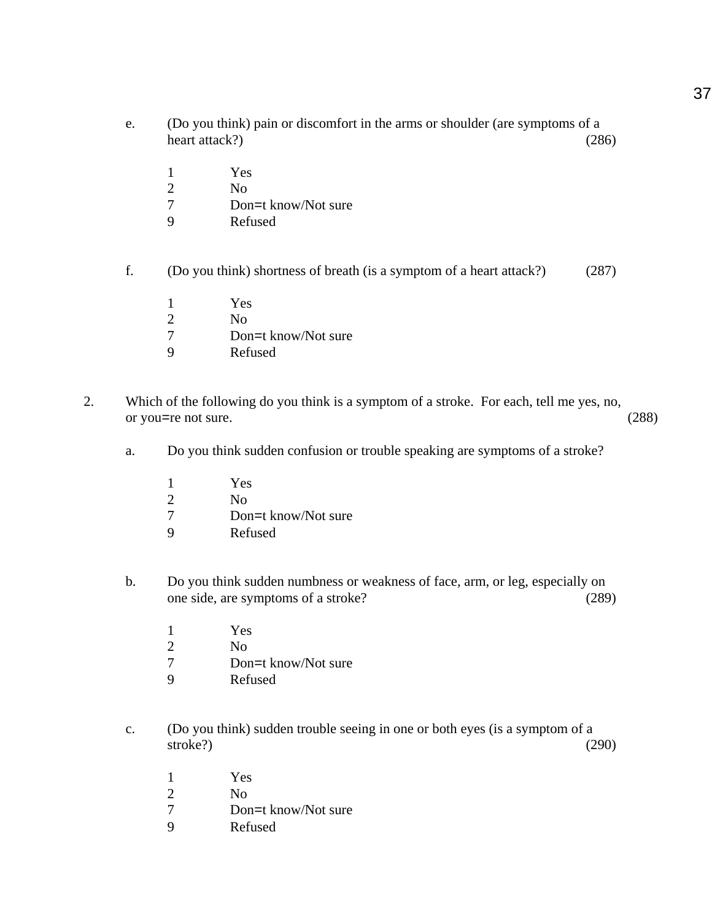- e. (Do you think) pain or discomfort in the arms or shoulder (are symptoms of a heart attack?) (286)
	- 1 Yes
	- 2 No
	- 7 Don=t know/Not sure
	- 9 Refused
- f. (Do you think) shortness of breath (is a symptom of a heart attack?) (287)
	- 1 Yes
	- 2 No
	- 7 Don=t know/Not sure
	- 9 Refused
- 2. Which of the following do you think is a symptom of a stroke. For each, tell me yes, no, or you=re not sure. (288)
	- a. Do you think sudden confusion or trouble speaking are symptoms of a stroke?
		- 1 Yes
		- 2 No
		- 7 Don=t know/Not sure<br>9 Refused
		- **Refused**
	- b. Do you think sudden numbness or weakness of face, arm, or leg, especially on one side, are symptoms of a stroke? (289)
		- 1 Yes
		- 2 No
		- 7 Don=t know/Not sure
		- 9 Refused
	- c. (Do you think) sudden trouble seeing in one or both eyes (is a symptom of a stroke?) (290)
		- 1 Yes
		- 2 No
		- 7 Don=t know/Not sure<br>9 Refused
		- **Refused**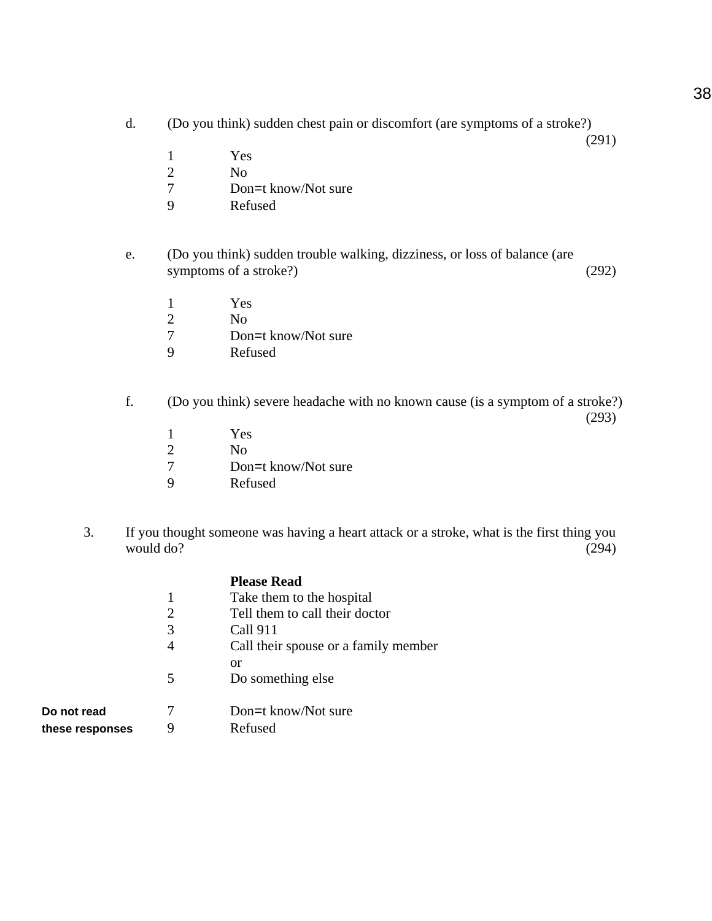- d. (Do you think) sudden chest pain or discomfort (are symptoms of a stroke?)
	- 1 Yes
	- 2 No
	- 7 Don=t know/Not sure
	- 9 Refused
- e. (Do you think) sudden trouble walking, dizziness, or loss of balance (are symptoms of a stroke?) (292)
	- 1 Yes
	- 2 No
	- 7 Don=t know/Not sure
	- 9 Refused
- f. (Do you think) severe headache with no known cause (is a symptom of a stroke?)

(293)

(291)

- 1 Yes 2 No 7 Don=t know/Not sure
- 9 Refused
- 3. If you thought someone was having a heart attack or a stroke, what is the first thing you would do? (294)

|                | <b>Please Read</b>                   |
|----------------|--------------------------------------|
| 1              | Take them to the hospital            |
| $\overline{2}$ | Tell them to call their doctor       |
| 3              | Call 911                             |
|                | Call their spouse or a family member |
|                | or                                   |
| 5              | Do something else                    |
|                |                                      |
|                |                                      |

| Do not read     |  |
|-----------------|--|
| these responses |  |

7 Don=t know/Not sure **9** Refused

38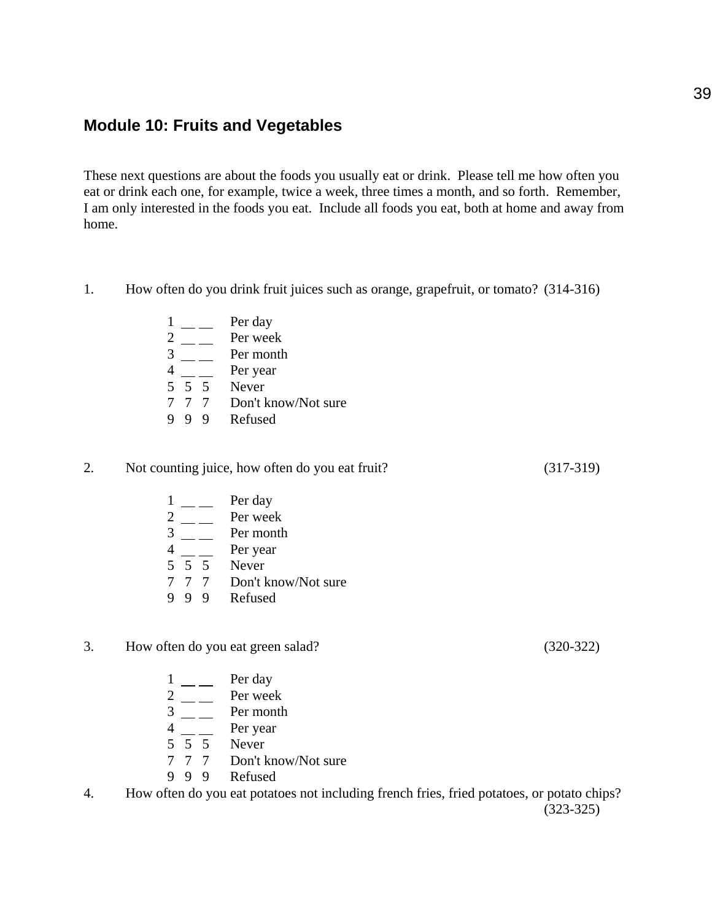## **Module 10: Fruits and Vegetables**

These next questions are about the foods you usually eat or drink. Please tell me how often you eat or drink each one, for example, twice a week, three times a month, and so forth. Remember, I am only interested in the foods you eat. Include all foods you eat, both at home and away from home.

- 1. How often do you drink fruit juices such as orange, grapefruit, or tomato? (314-316)
- $1 \_\_\_\_\$  Per day  $\frac{2}{3}$  - Per week<br>Per month Per month  $4 \_\_\_\_\$  Per year 5 5 5 Never 7 7 7 Don't know/Not sure 9 9 9 Refused

### 2. Not counting juice, how often do you eat fruit? (317-319)

- $1 \_\_\_\_\$  Per day  $\frac{2}{3}$  — Per week<br>Per month Per month  $4 \equiv$  Per year 5 5 5 Never 7 7 7 Don't know/Not sure 9 9 9 Refused
- 3. How often do you eat green salad? (320-322)
	- $1 \_\_\_\_$ Per day
	- $2 \equiv$  Per week
	- $3 \frac{2}{\pi}$  Per month
	- $4 \_$  Per year
	- $5\overline{5}5$  Never
	- 7 7 7 Don't know/Not sure
	- 9 9 9 Refused
- 4. How often do you eat potatoes not including french fries, fried potatoes, or potato chips? (323-325)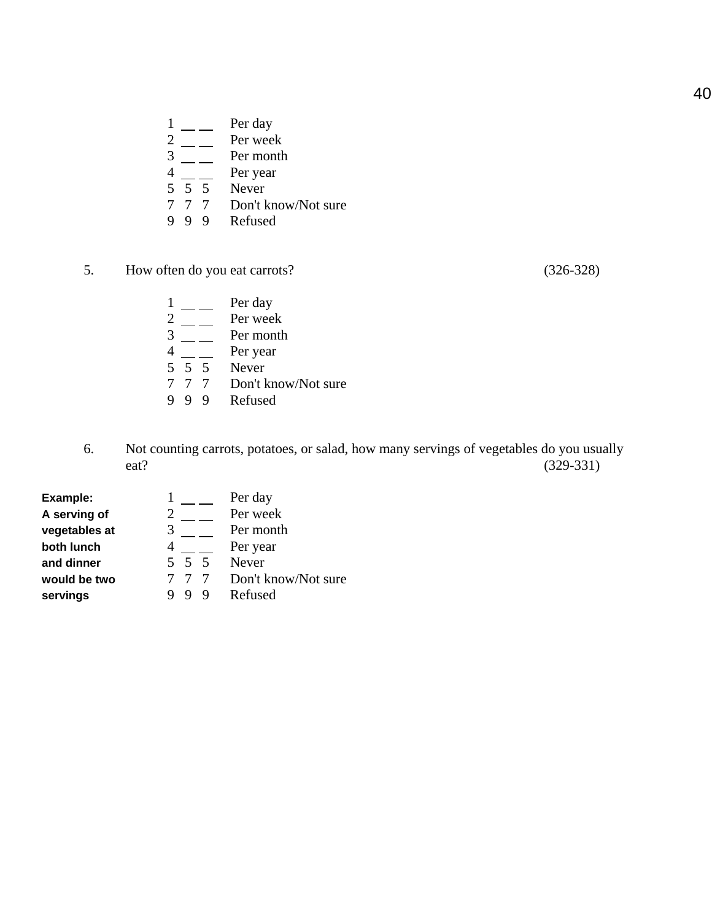- $\frac{1}{2}$  Per day<br>Per weel
- 
- $\frac{2}{3}$  Per week<br>Per month Per month
- 4 Per year
- $5\overline{5}$   $\overline{5}$  Never
- 7 7 7 Don't know/Not sure
- 9 9 9 Refused
- 5. How often do you eat carrots? (326-328)

- $1 \_\_$  Per day  $\frac{2}{3}$   $\frac{2}{\frac{1}{2}}$  Per week<br>Per month Per month  $4 \_\_\_\_\$  Per year  $5\overline{5}$  5 Never 7 7 7 Don't know/Not sure<br>9 9 9 Refused
- **Refused**
- 6. Not counting carrots, potatoes, or salad, how many servings of vegetables do you usually eat? (329-331)

| Example:      |       | Per day             |
|---------------|-------|---------------------|
| A serving of  |       | Per week            |
| vegetables at | 3     | Per month           |
| both lunch    |       | Per year            |
| and dinner    | 5 5 5 | Never               |
| would be two  |       | Don't know/Not sure |
| servings      |       | Refused             |

40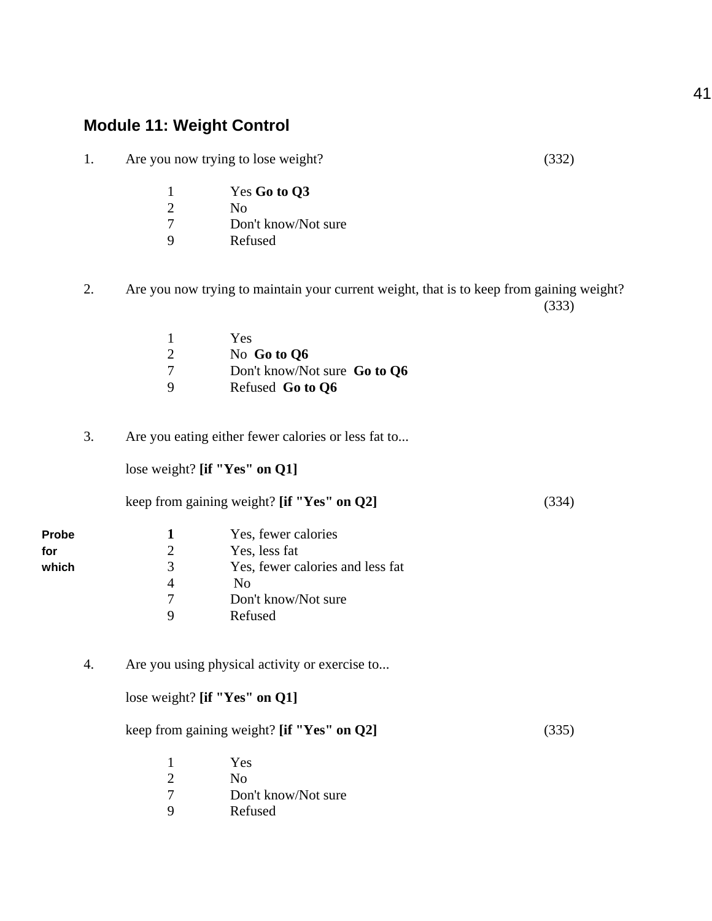# **Module 11: Weight Control**

1. Are you now trying to lose weight? (332)

|    | Yes Go to Q3        |
|----|---------------------|
| 2  | No                  |
| -7 | Don't know/Not sure |

- 9 Refused
- 2. Are you now trying to maintain your current weight, that is to keep from gaining weight? (333)

|   | Yes                          |
|---|------------------------------|
|   | No Go to $Q6$                |
|   | Don't know/Not sure Go to Q6 |
| Q | Refused Go to Q6             |

3. Are you eating either fewer calories or less fat to...

lose weight? **[if "Yes" on Q1]**

|  | keep from gaining weight? [if "Yes" on Q2] | (334) |
|--|--------------------------------------------|-------|
|--|--------------------------------------------|-------|

| <b>Probe</b> |   | Yes, fewer calories              |
|--------------|---|----------------------------------|
| for          | 2 | Yes, less fat                    |
| which        | 3 | Yes, fewer calories and less fat |
|              |   | No                               |
|              |   | Don't know/Not sure              |
|              |   | Refused                          |

4. Are you using physical activity or exercise to...

### lose weight? **[if "Yes" on Q1]**

keep from gaining weight? **[if "Yes" on Q2]** (335)

|    | Yes                 |
|----|---------------------|
| 2  | Nο                  |
| -7 | Don't know/Not sure |
| -9 | Refused             |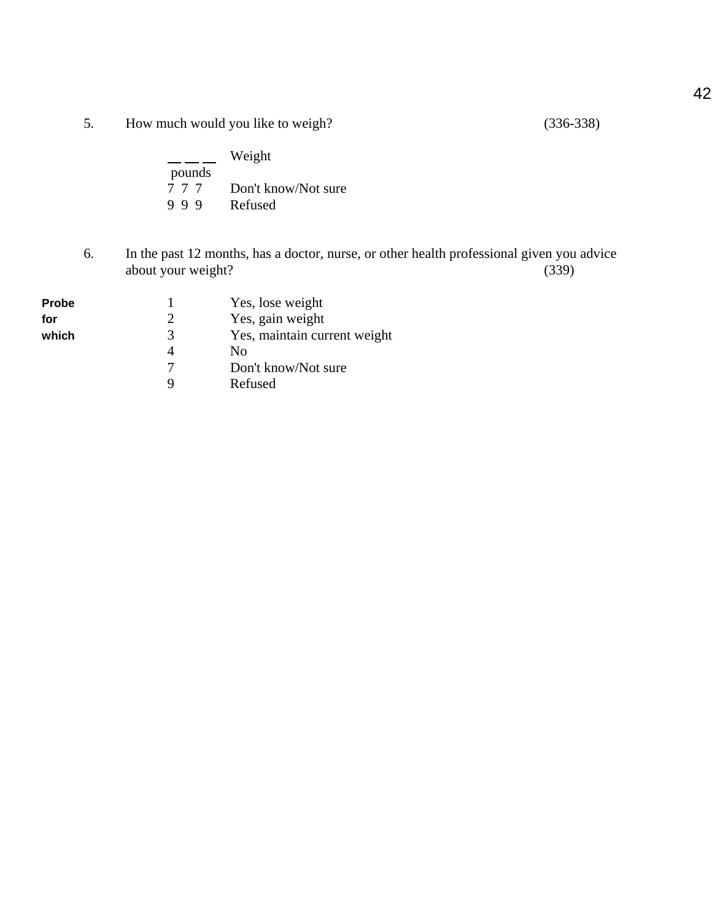5. How much would you like to weigh? (336-338)

|        | Weight              |
|--------|---------------------|
| pounds |                     |
| 777    | Don't know/Not sure |
| 999    | Refused             |

6. In the past 12 months, has a doctor, nurse, or other health professional given you advice about your weight?

| <b>Probe</b> |   | Yes, lose weight             |
|--------------|---|------------------------------|
| for          | 7 | Yes, gain weight             |
| which        | 3 | Yes, maintain current weight |
|              |   | Nο                           |
|              |   | Don't know/Not sure          |
|              |   | Refused                      |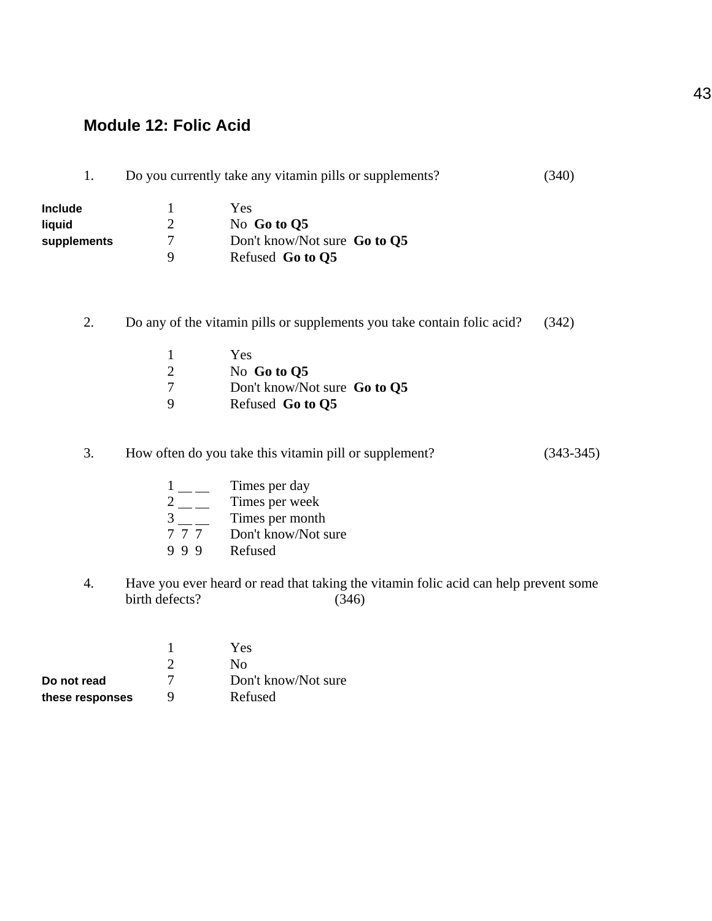## **Module 12: Folic Acid**

| 1.                               |                                                  | Do you currently take any vitamin pills or supplements?                                                                                 | (340)       |
|----------------------------------|--------------------------------------------------|-----------------------------------------------------------------------------------------------------------------------------------------|-------------|
| Include<br>liquid<br>supplements | 1<br>$\overline{2}$<br>$\overline{7}$<br>9       | Yes<br>No Go to Q5<br>Don't know/Not sure Go to Q5<br>Refused Go to Q5                                                                  |             |
| 2.                               |                                                  | Do any of the vitamin pills or supplements you take contain folic acid?                                                                 | (342)       |
|                                  | $\mathbf{1}$<br>$\sqrt{2}$<br>$\tau$<br>9        | Yes<br>No Go to Q5<br>Don't know/Not sure Go to Q5<br>Refused Go to Q5                                                                  |             |
| 3.                               |                                                  | How often do you take this vitamin pill or supplement?                                                                                  | $(343-345)$ |
|                                  | $1$ — —<br>999                                   | Times per day<br>$\frac{2}{3}$ Times per week<br>$\frac{2}{7}$ Times per month<br>Times per month<br>The Don't know/Not sure<br>Refused |             |
| 4.                               | birth defects?                                   | Have you ever heard or read that taking the vitamin folic acid can help prevent some<br>(346)                                           |             |
| Do not read                      | $\mathbf{1}$<br>$\overline{2}$<br>$\overline{7}$ | Yes<br>N <sub>o</sub><br>Don't know/Not sure                                                                                            |             |

these responses 9 Refused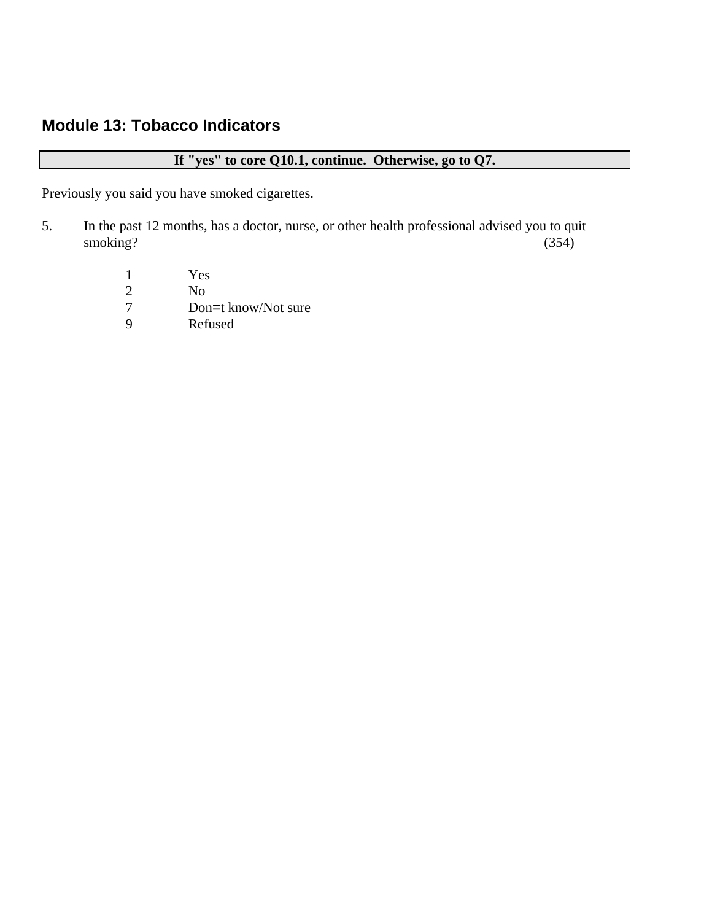# **Module 13: Tobacco Indicators**

## **If "yes" to core Q10.1, continue. Otherwise, go to Q7.**

Previously you said you have smoked cigarettes.

- 5. In the past 12 months, has a doctor, nurse, or other health professional advised you to quit smoking? (354)
	- 1 Yes
	- 2 No<br>7 Dor 7 Don=t know/Not sure<br>9 Refused
	- **Refused**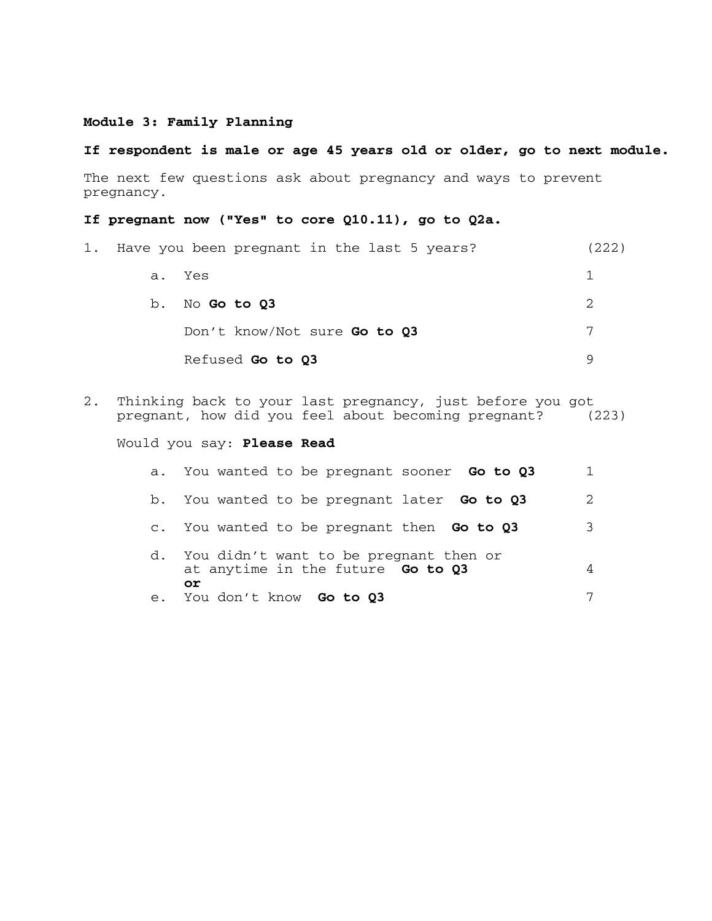#### **Module 3: Family Planning**

#### **If respondent is male or age 45 years old or older, go to next module.**

The next few questions ask about pregnancy and ways to prevent pregnancy.

### **If pregnant now ("Yes" to core Q10.11), go to Q2a.**

| 1. | Have you been pregnant in the last 5 years? | (222) |
|----|---------------------------------------------|-------|
|    | a. Yes                                      |       |
|    | b. No Go to Q3                              | 2     |
|    | Don't know/Not sure Go to Q3                | 7     |
|    | Refused Go to Q3                            | Q     |

2. Thinking back to your last pregnancy, just before you got<br>pregnant, how did you feel about becoming pregnant? (223) pregnant, how did you feel about becoming pregnant?

Would you say: **Please Read**

|    | a. You wanted to be pregnant sooner <b>Go to Q3</b>                               |   |
|----|-----------------------------------------------------------------------------------|---|
|    | b. You wanted to be pregnant later <b>Go to Q3</b>                                |   |
|    | c. You wanted to be pregnant then <b>Go to Q3</b>                                 | 3 |
| d. | You didn't want to be pregnant then or<br>at anytime in the future Go to Q3<br>оr |   |
|    | e. You don't know <b>Go to Q3</b>                                                 | 7 |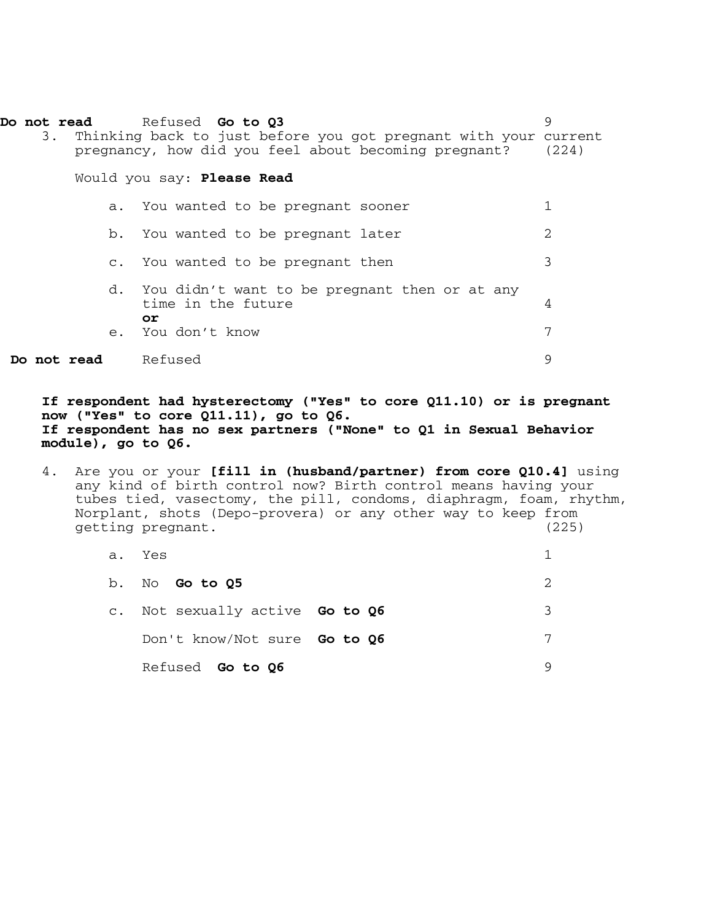|             | Do not read Refused Go to Q3<br>3. Thinking back to just before you got pregnant with your current<br>pregnancy, how did you feel about becoming pregnant? | 9<br>(224)            |
|-------------|------------------------------------------------------------------------------------------------------------------------------------------------------------|-----------------------|
|             | Would you say: Please Read                                                                                                                                 |                       |
|             | a. You wanted to be pregnant sooner                                                                                                                        |                       |
|             | b. You wanted to be pregnant later                                                                                                                         | $\mathcal{D}_{\cdot}$ |
|             | c. You wanted to be pregnant then                                                                                                                          | 3                     |
|             | d. You didn't want to be pregnant then or at any<br>time in the future<br>or<br>e. You don't know                                                          | 4<br>7                |
| Do not read | Refused                                                                                                                                                    | 9                     |

**If respondent had hysterectomy ("Yes" to core Q11.10) or is pregnant now ("Yes" to core Q11.11), go to Q6. If respondent has no sex partners ("None" to Q1 in Sexual Behavior module), go to Q6.** 

4. Are you or your **[fill in (husband/partner) from core Q10.4]** using any kind of birth control now? Birth control means having your tubes tied, vasectomy, the pill, condoms, diaphragm, foam, rhythm, Norplant, shots (Depo-provera) or any other way to keep from<br>getting pregnant. (225) getting pregnant.

|                | a. Yes                       |   |
|----------------|------------------------------|---|
| b.             | No Go to Q5                  |   |
| $\mathsf{C}$ . | Not sexually active Go to Q6 | ર |
|                | Don't know/Not sure Go to Q6 | 7 |
|                | Refused <b>Go to Q6</b>      |   |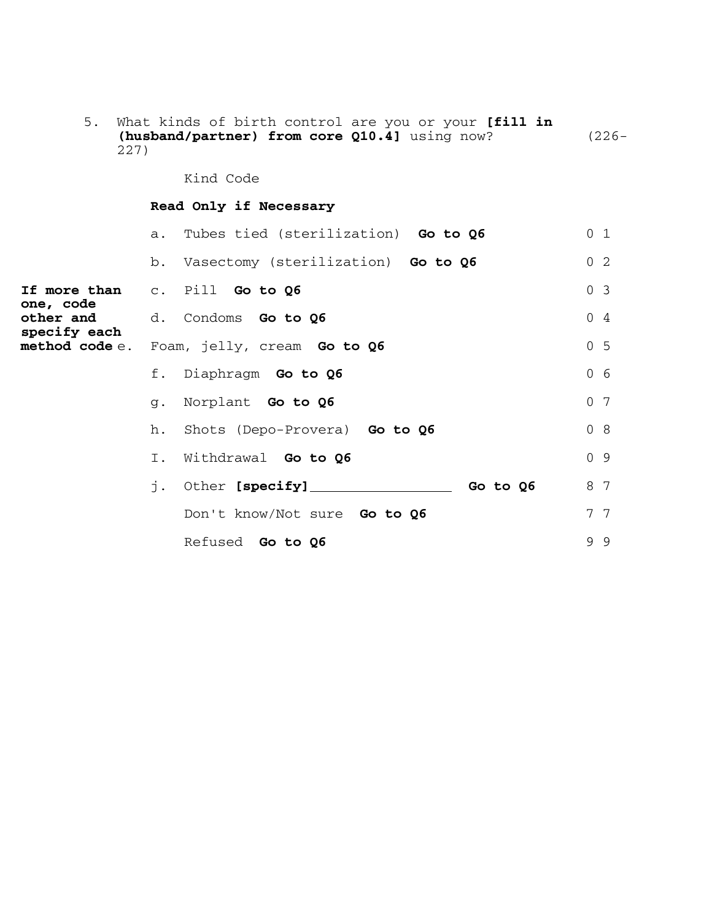| 227)                                   |                | (husband/partner) from core Q10.4] using now? | $(226 -$       |
|----------------------------------------|----------------|-----------------------------------------------|----------------|
|                                        |                | Kind Code                                     |                |
|                                        |                | Read Only if Necessary                        |                |
|                                        |                | a. Tubes tied (sterilization) Go to Q6        | 0 <sub>1</sub> |
|                                        |                | b. Vasectomy (sterilization) Go to Q6         | 0 <sub>2</sub> |
|                                        |                | If more than c. Pill Go to Q6                 | 0 <sup>3</sup> |
| one, code<br>other and<br>specify each |                | d. Condoms Go to Q6                           | 04             |
| method code $e$ .                      |                | Foam, jelly, cream Go to Q6                   | 0 <sub>5</sub> |
|                                        |                | f. Diaphragm Go to Q6                         | 0 <sub>6</sub> |
|                                        | $\sigma$ .     | Norplant Go to Q6                             | 0 <sub>7</sub> |
|                                        | h.             | Shots (Depo-Provera) Go to Q6                 | 0 <sub>8</sub> |
|                                        | $\mathbb{I}$ . | Withdrawal Go to Q6                           | 0 <sup>9</sup> |
|                                        |                |                                               | 8 7            |
|                                        |                | Don't know/Not sure Go to Q6                  | 7 7            |
|                                        |                | Refused Go to Q6                              | 99             |

5. What kinds of birth control are you or your **[fill in**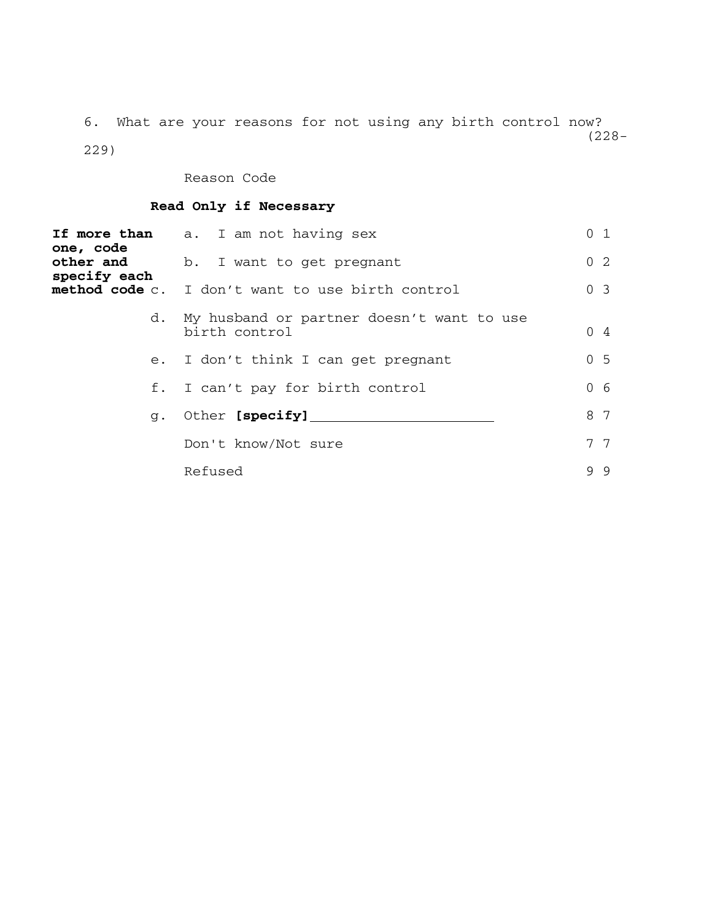6. What are your reasons for not using any birth control now? (228- 229)

Reason Code

## **Read Only if Necessary**

| <b>If more than</b><br>one, code | a. I am not having sex                                     | 0 <sub>1</sub> |
|----------------------------------|------------------------------------------------------------|----------------|
| other and<br>specify each        | b. I want to get pregnant                                  | 0 <sub>2</sub> |
| method code c.                   | I don't want to use birth control                          | 0 <sup>3</sup> |
| d.                               | My husband or partner doesn't want to use<br>birth control | $0\quad 4$     |
| $e_{\cdot}$                      | I don't think I can get pregnant                           | 0 <sub>5</sub> |
| f.                               | I can't pay for birth control                              | 0 <sub>6</sub> |
| $\alpha$ .                       | Other [specify]                                            | 8 7            |
|                                  | Don't know/Not sure                                        | 77             |
|                                  | Refused                                                    | 99             |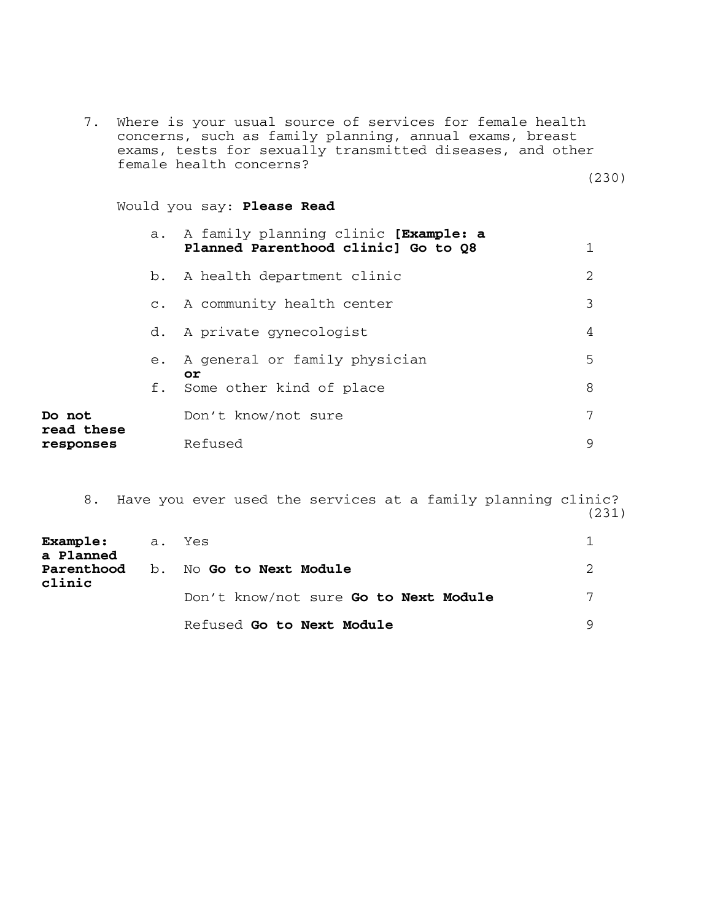7. Where is your usual source of services for female health concerns, such as family planning, annual exams, breast exams, tests for sexually transmitted diseases, and other female health concerns?

(230)

#### Would you say: **Please Read**

|                      | a.    | A family planning clinic [Example: a<br>Planned Parenthood clinic] Go to Q8 |               |
|----------------------|-------|-----------------------------------------------------------------------------|---------------|
|                      |       | b. A health department clinic                                               | $\mathcal{L}$ |
|                      |       | c. A community health center                                                | 3             |
|                      | d.    | A private gynecologist                                                      | 4             |
|                      | $e$ . | A general or family physician                                               | 5             |
|                      | f.    | оr<br>Some other kind of place                                              | 8             |
| Do not<br>read these |       | Don't know/not sure                                                         | 7             |
| responses            |       | Refused                                                                     | 9             |

8. Have you ever used the services at a family planning clinic? (231)

| Example: a. Yes<br>a Planned |                                       |   |
|------------------------------|---------------------------------------|---|
| clinic                       | Parenthood b. No Go to Next Module    |   |
|                              | Don't know/not sure Go to Next Module | 7 |
|                              | Refused Go to Next Module             |   |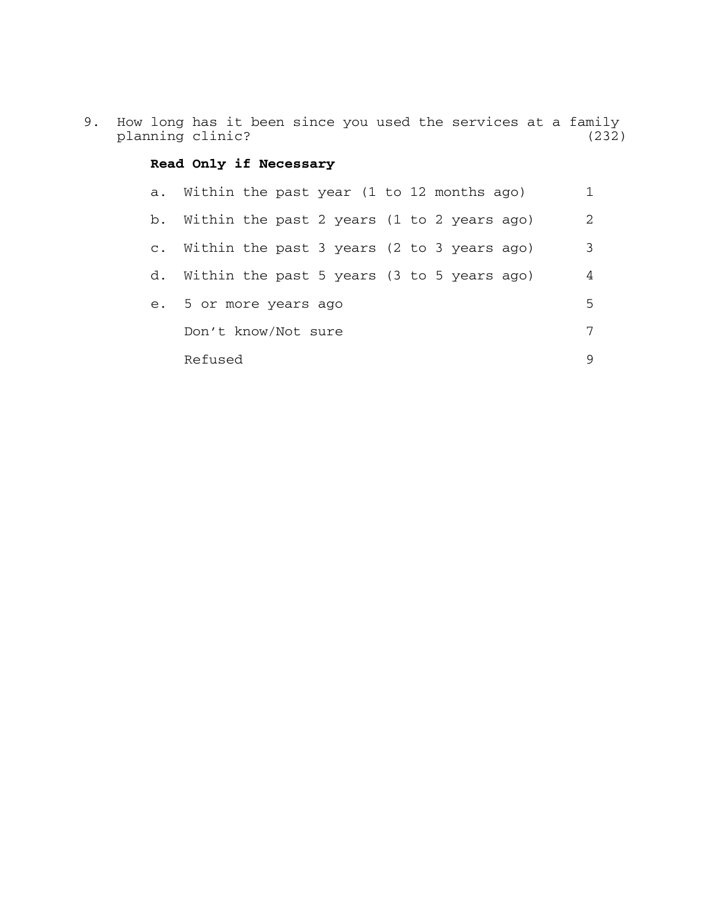9. How long has it been since you used the services at a family planning clinic? (232)

## **Read Only if Necessary**

| a. Within the past year (1 to 12 months ago)  |   |
|-----------------------------------------------|---|
| b. Within the past 2 years (1 to 2 years ago) | 2 |
| c. Within the past 3 years (2 to 3 years ago) | 3 |
| d. Within the past 5 years (3 to 5 years ago) | 4 |
| e. 5 or more years ago                        | 5 |
| Don't know/Not sure                           | 7 |
| Refused                                       | 9 |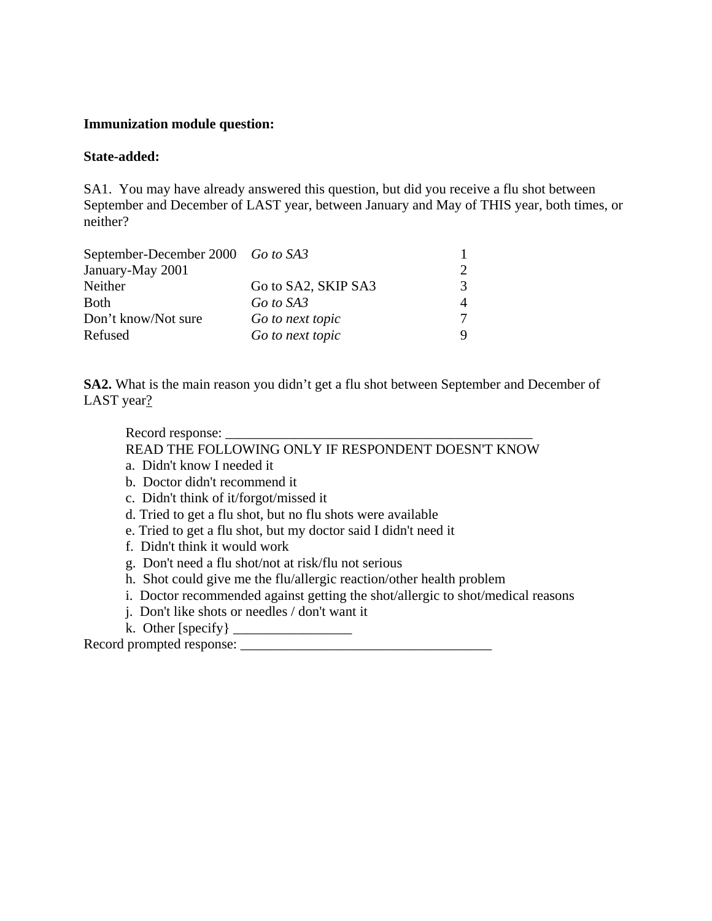#### **Immunization module question:**

#### **State-added:**

SA1. You may have already answered this question, but did you receive a flu shot between September and December of LAST year, between January and May of THIS year, both times, or neither?

| September-December 2000 Go to SA3 |                     |   |
|-----------------------------------|---------------------|---|
| January-May 2001                  |                     |   |
| Neither                           | Go to SA2, SKIP SA3 | 2 |
| <b>Both</b>                       | Go to SA3           |   |
| Don't know/Not sure               | Go to next topic    |   |
| Refused                           | Go to next topic    |   |

**SA2.** What is the main reason you didn't get a flu shot between September and December of LAST year?

Record response:

READ THE FOLLOWING ONLY IF RESPONDENT DOESN'T KNOW

- a. Didn't know I needed it
- b. Doctor didn't recommend it
- c. Didn't think of it/forgot/missed it
- d. Tried to get a flu shot, but no flu shots were available
- e. Tried to get a flu shot, but my doctor said I didn't need it
- f. Didn't think it would work
- g. Don't need a flu shot/not at risk/flu not serious
- h. Shot could give me the flu/allergic reaction/other health problem
- i. Doctor recommended against getting the shot/allergic to shot/medical reasons
- j. Don't like shots or needles / don't want it
- k. Other [specify} \_\_\_\_\_\_\_\_\_\_\_\_\_\_\_\_\_

Record prompted response: \_\_\_\_\_\_\_\_\_\_\_\_\_\_\_\_\_\_\_\_\_\_\_\_\_\_\_\_\_\_\_\_\_\_\_\_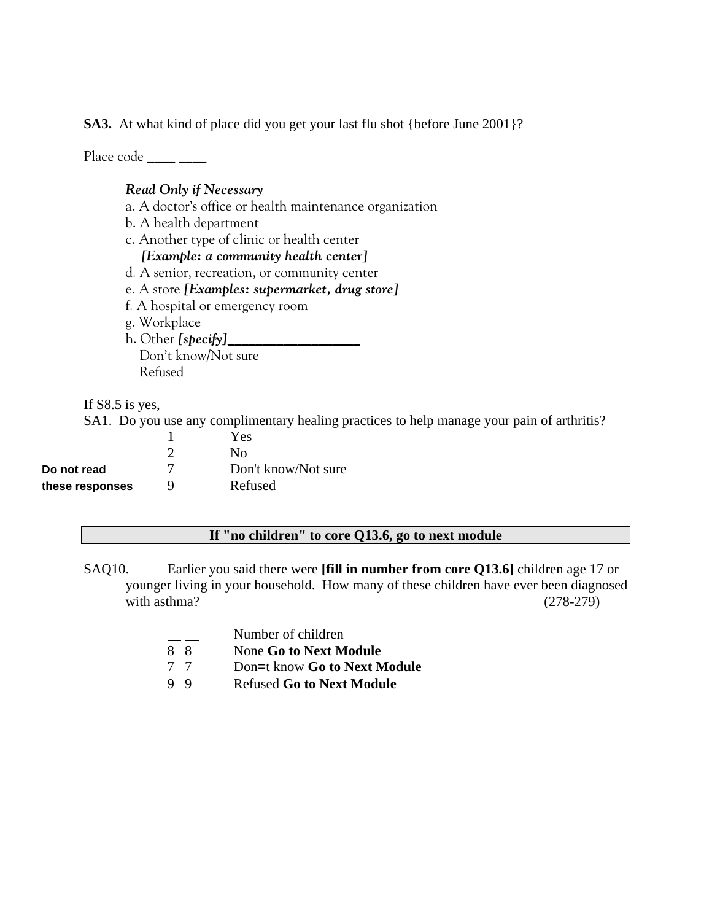**SA3.** At what kind of place did you get your last flu shot {before June 2001}?

Place  $code$  \_\_\_\_ \_\_\_\_

## *Read Only if Necessary*

- a. A doctor's office or health maintenance organization
- b. A health department
- c. Another type of clinic or health center

 *[Example: a community health center]*

- d. A senior, recreation, or community center
- e. A store *[Examples: supermarket, drug store]*
- f. A hospital or emergency room
- g. Workplace
- h. Other *[specify]*\_\_\_\_\_\_\_\_\_\_\_\_\_\_\_\_\_\_\_

 Don't know/Not sure Refused

If S8.5 is yes,

SA1. Do you use any complimentary healing practices to help manage your pain of arthritis?

|                 |   | Yes                 |
|-----------------|---|---------------------|
|                 |   | Nο                  |
| Do not read     |   | Don't know/Not sure |
| these responses | Q | Refused             |

### **If "no children" to core Q13.6, go to next module**

- SAQ10. Earlier you said there were **[fill in number from core Q13.6]** children age 17 or younger living in your household. How many of these children have ever been diagnosed with asthma? (278-279)
	- Number of children
	- 8 8 None **Go to Next Module**
	- 7 7 Don=t know **Go to Next Module**
	- 9 9 Refused **Go to Next Module**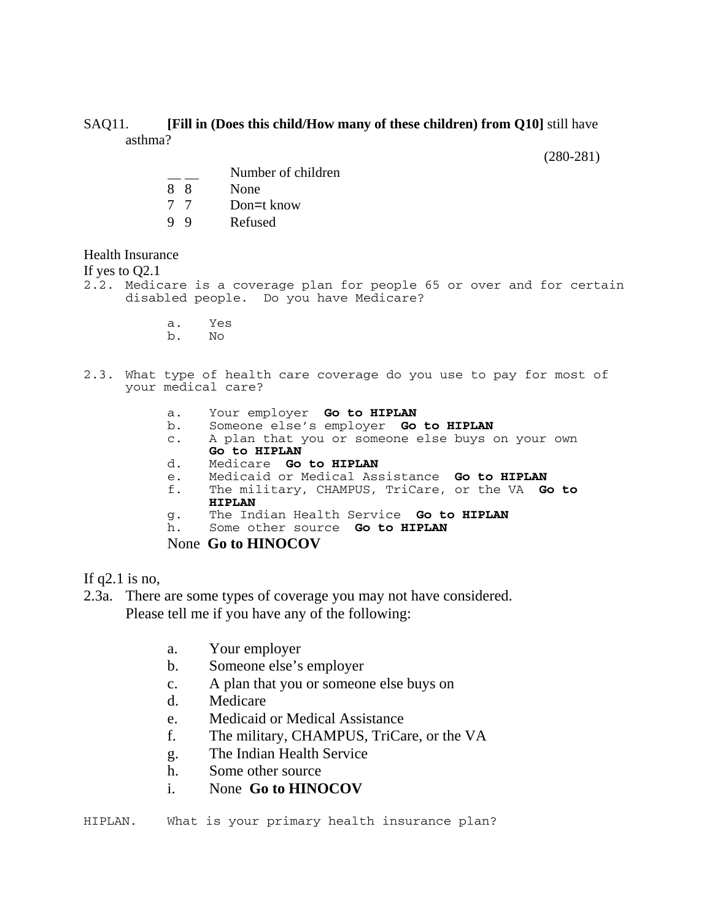#### SAQ11. **[Fill in (Does this child/How many of these children) from Q10]** still have asthma?

(280-281)

- Number of children
- 8 8 None
- 7 7 Don=t know
- **Refused**

Health Insurance

If yes to Q2.1

2.2. Medicare is a coverage plan for people 65 or over and for certain disabled people. Do you have Medicare?

> a. Yes  $N<sub>O</sub>$

#### 2.3. What type of health care coverage do you use to pay for most of your medical care?

- a. Your employer **Go to HIPLAN**
- b. Someone else's employer **Go to HIPLAN**
- c. A plan that you or someone else buys on your own **Go to HIPLAN**
- 
- d. Medicare **Go to HIPLAN**
- e. Medicaid or Medical Assistance **Go to HIPLAN** f. The military, CHAMPUS, TriCare, or the VA **Go to HIPLAN**
- g. The Indian Health Service **Go to HIPLAN**
- h. Some other source **Go to HIPLAN**

None **Go to HINOCOV**

If  $q2.1$  is no,

- 2.3a. There are some types of coverage you may not have considered. Please tell me if you have any of the following:
	- a. Your employer
	- b. Someone else's employer
	- c. A plan that you or someone else buys on
	- d. Medicare
	- e. Medicaid or Medical Assistance
	- f. The military, CHAMPUS, TriCare, or the VA
	- g. The Indian Health Service
	- h. Some other source
	- i. None **Go to HINOCOV**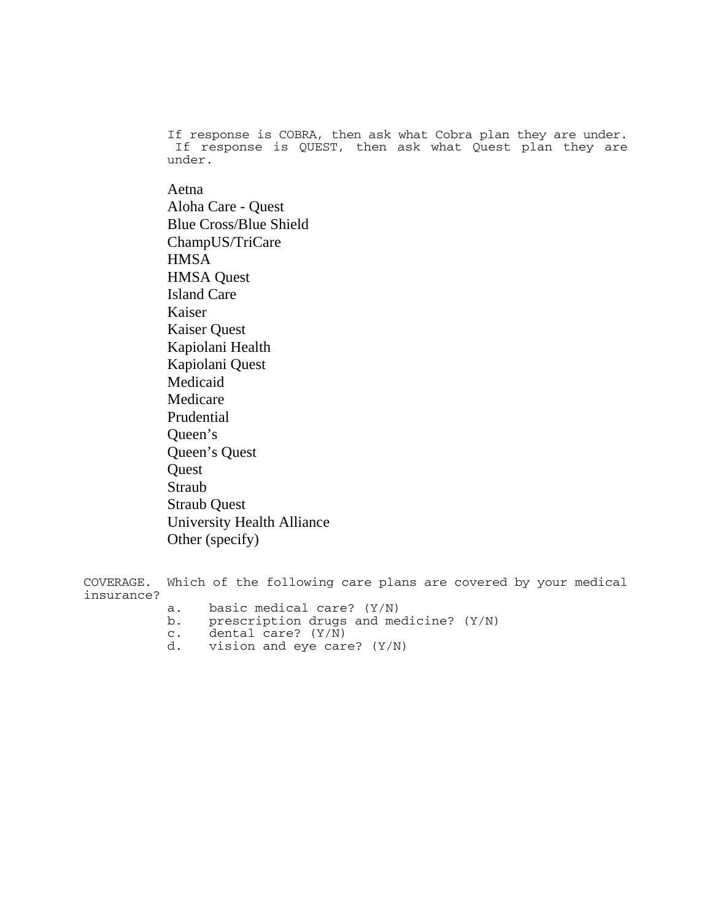If response is COBRA, then ask what Cobra plan they are under. If response is QUEST, then ask what Quest plan they are under.

Aetna Aloha Care - Quest Blue Cross/Blue Shield ChampUS/TriCare **HMSA** HMSA Quest Island Care Kaiser Kaiser Quest Kapiolani Health Kapiolani Quest Medicaid Medicare Prudential Queen's Queen's Quest **Quest** Straub Straub Quest University Health Alliance Other (specify)

COVERAGE. Which of the following care plans are covered by your medical insurance? a. basic medical care? (Y/N)<br>b. prescription drugs and me

- prescription drugs and medicine? (Y/N)
- c. dental care? (Y/N)
- d. vision and eye care? (Y/N)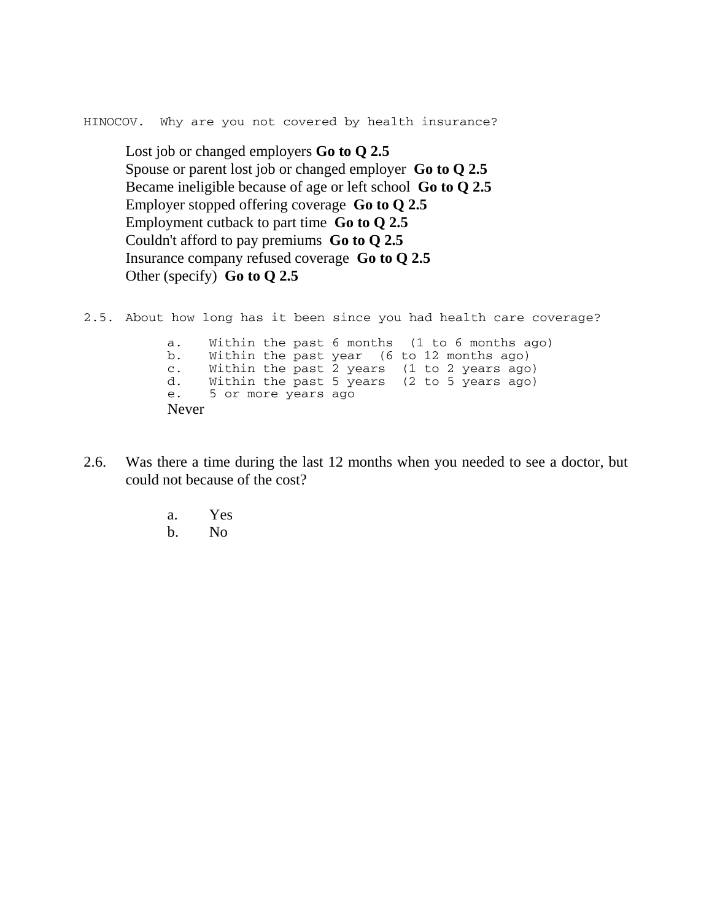HINOCOV. Why are you not covered by health insurance?

Lost job or changed employers **Go to Q 2.5** Spouse or parent lost job or changed employer **Go to Q 2.5** Became ineligible because of age or left school **Go to Q 2.5** Employer stopped offering coverage **Go to Q 2.5** Employment cutback to part time **Go to Q 2.5** Couldn't afford to pay premiums **Go to Q 2.5** Insurance company refused coverage **Go to Q 2.5** Other (specify) **Go to Q 2.5**

2.5. About how long has it been since you had health care coverage?

a. Within the past 6 months (1 to 6 months ago) b. Within the past year (6 to 12 months ago) c. Within the past 2 years (1 to 2 years ago) d. Within the past 5 years (2 to 5 years ago) e. 5 or more years ago Never

- 2.6. Was there a time during the last 12 months when you needed to see a doctor, but could not because of the cost?
	- a. Yes
	- b. No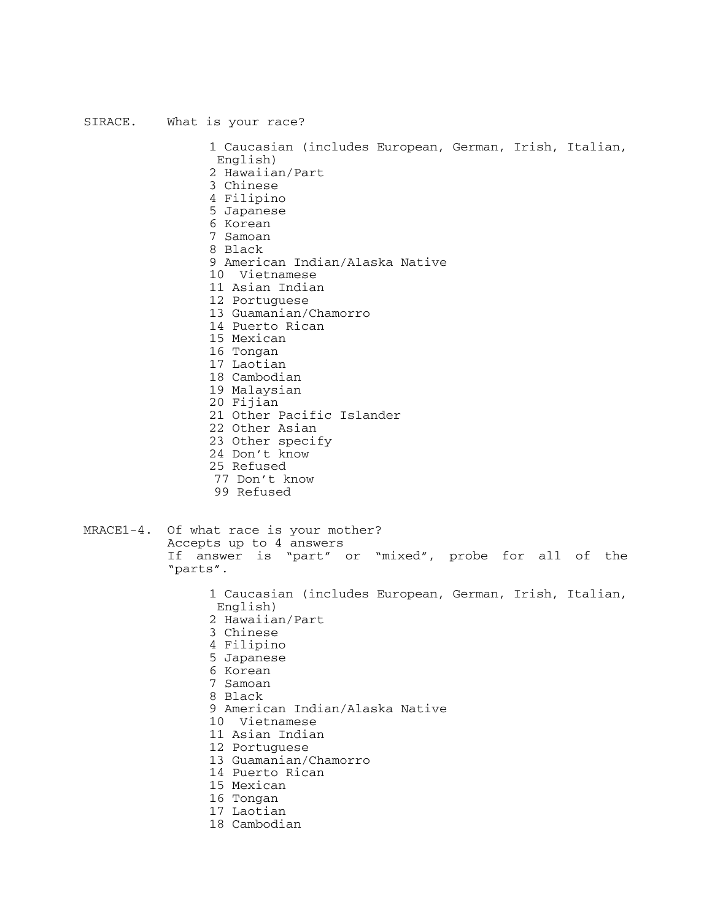#### SIRACE. What is your race?

 English) 2 Hawaiian/Part 3 Chinese 4 Filipino 5 Japanese 6 Korean 7 Samoan 8 Black 9 American Indian/Alaska Native 10 Vietnamese 11 Asian Indian 12 Portuguese 13 Guamanian/Chamorro 14 Puerto Rican 15 Mexican 16 Tongan 17 Laotian 18 Cambodian 19 Malaysian 20 Fijian 21 Other Pacific Islander 22 Other Asian 23 Other specify 24 Don't know

1 Caucasian (includes European, German, Irish, Italian,

- 
- 25 Refused
- 77 Don't know
- 99 Refused

#### MRACE1-4. Of what race is your mother? Accepts up to 4 answers If answer is "part" or "mixed", probe for all of the "parts".

- 1 Caucasian (includes European, German, Irish, Italian, English)
- 2 Hawaiian/Part
- 3 Chinese
- 4 Filipino
- 5 Japanese
- 6 Korean
- 7 Samoan
- 8 Black
- 9 American Indian/Alaska Native
- 10 Vietnamese
- 11 Asian Indian
- 12 Portuguese
- 13 Guamanian/Chamorro
- 14 Puerto Rican
- 15 Mexican
- 16 Tongan
- 17 Laotian
- 18 Cambodian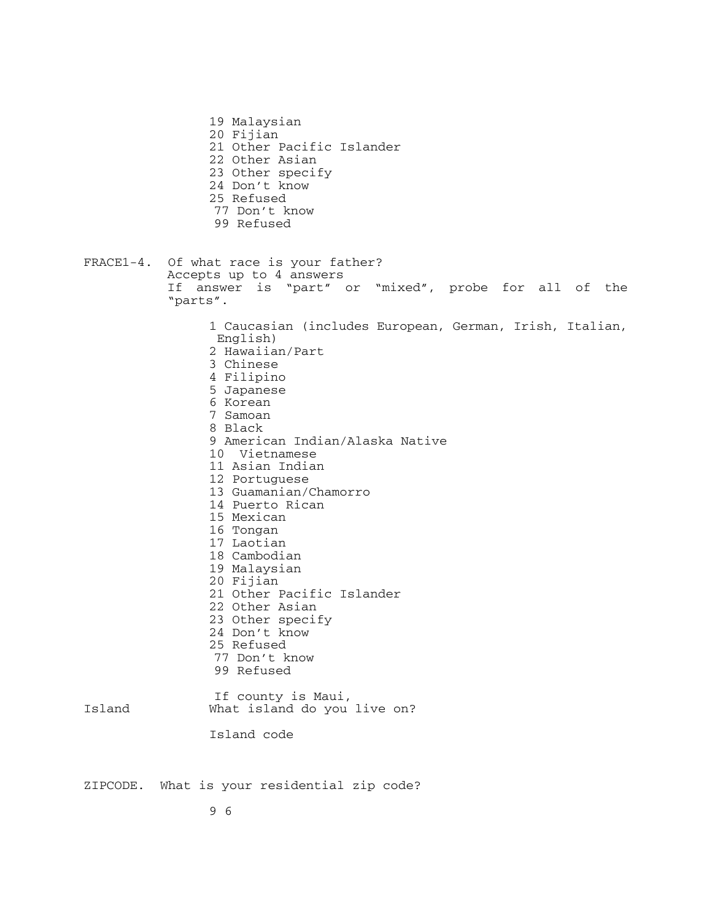- 19 Malaysian 20 Fijian 21 Other Pacific Islander 22 Other Asian 23 Other specify 24 Don't know 25 Refused 77 Don't know
- 99 Refused
- FRACE1-4. Of what race is your father? Accepts up to 4 answers If answer is "part" or "mixed", probe for all of the "parts".

 English) 2 Hawaiian/Part 3 Chinese 4 Filipino 5 Japanese 6 Korean 7 Samoan 8 Black 9 American Indian/Alaska Native 10 Vietnamese 11 Asian Indian 12 Portuguese 13 Guamanian/Chamorro 14 Puerto Rican 15 Mexican 16 Tongan 17 Laotian 18 Cambodian 19 Malaysian 20 Fijian 21 Other Pacific Islander 22 Other Asian 23 Other specify 24 Don't know 25 Refused 77 Don't know 99 Refused

1 Caucasian (includes European, German, Irish, Italian,

If county is Maui,<br>Island 60 what island do you What island do you live on?

Island code

ZIPCODE. What is your residential zip code?